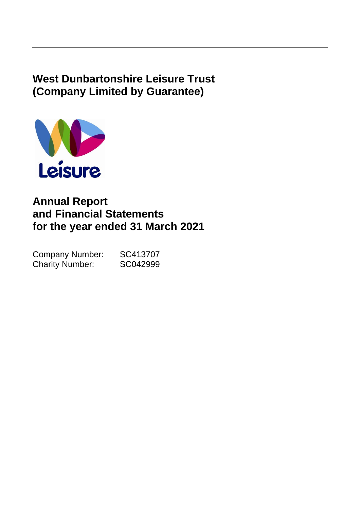# **West Dunbartonshire Leisure Trust (Company Limited by Guarantee)**



# **Annual Report and Financial Statements for the year ended 31 March 2021**

| <b>Company Number:</b> | SC413707 |
|------------------------|----------|
| <b>Charity Number:</b> | SC042999 |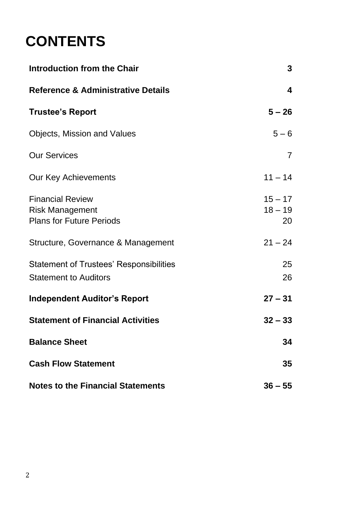# **CONTENTS**

| <b>Introduction from the Chair</b>                                                   |                              |  |  |  |  |
|--------------------------------------------------------------------------------------|------------------------------|--|--|--|--|
| <b>Reference &amp; Administrative Details</b>                                        | 4                            |  |  |  |  |
| <b>Trustee's Report</b>                                                              | $5 - 26$                     |  |  |  |  |
| <b>Objects, Mission and Values</b>                                                   | $5 - 6$                      |  |  |  |  |
| <b>Our Services</b>                                                                  | $\overline{7}$               |  |  |  |  |
| Our Key Achievements                                                                 | $11 - 14$                    |  |  |  |  |
| <b>Financial Review</b><br><b>Risk Management</b><br><b>Plans for Future Periods</b> | $15 - 17$<br>$18 - 19$<br>20 |  |  |  |  |
| Structure, Governance & Management                                                   | $21 - 24$                    |  |  |  |  |
| <b>Statement of Trustees' Responsibilities</b><br><b>Statement to Auditors</b>       | 25<br>26                     |  |  |  |  |
| <b>Independent Auditor's Report</b>                                                  | $27 - 31$                    |  |  |  |  |
| <b>Statement of Financial Activities</b>                                             | $32 - 33$                    |  |  |  |  |
| <b>Balance Sheet</b>                                                                 | 34                           |  |  |  |  |
| <b>Cash Flow Statement</b>                                                           | 35                           |  |  |  |  |
| <b>Notes to the Financial Statements</b>                                             | $36 - 55$                    |  |  |  |  |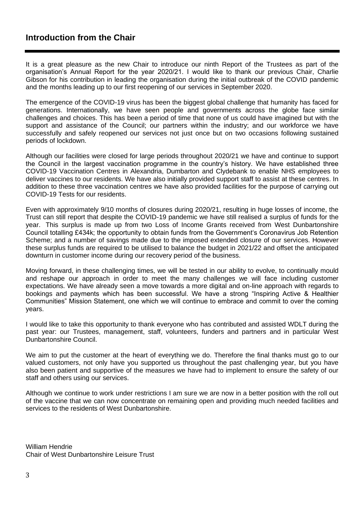# **Introduction from the Chair**

It is a great pleasure as the new Chair to introduce our ninth Report of the Trustees as part of the organisation's Annual Report for the year 2020/21. I would like to thank our previous Chair, Charlie Gibson for his contribution in leading the organisation during the initial outbreak of the COVID pandemic and the months leading up to our first reopening of our services in September 2020.

The emergence of the COVID-19 virus has been the biggest global challenge that humanity has faced for generations. Internationally, we have seen people and governments across the globe face similar challenges and choices. This has been a period of time that none of us could have imagined but with the support and assistance of the Council; our partners within the industry; and our workforce we have successfully and safely reopened our services not just once but on two occasions following sustained periods of lockdown.

Although our facilities were closed for large periods throughout 2020/21 we have and continue to support the Council in the largest vaccination programme in the country's history. We have established three COVID-19 Vaccination Centres in Alexandria, Dumbarton and Clydebank to enable NHS employees to deliver vaccines to our residents. We have also initially provided support staff to assist at these centres. In addition to these three vaccination centres we have also provided facilities for the purpose of carrying out COVID-19 Tests for our residents.

Even with approximately 9/10 months of closures during 2020/21, resulting in huge losses of income, the Trust can still report that despite the COVID-19 pandemic we have still realised a surplus of funds for the year. This surplus is made up from two Loss of Income Grants received from West Dunbartonshire Council totalling £434k; the opportunity to obtain funds from the Government's Coronavirus Job Retention Scheme; and a number of savings made due to the imposed extended closure of our services. However these surplus funds are required to be utilised to balance the budget in 2021/22 and offset the anticipated downturn in customer income during our recovery period of the business.

Moving forward, in these challenging times, we will be tested in our ability to evolve, to continually mould and reshape our approach in order to meet the many challenges we will face including customer expectations. We have already seen a move towards a more digital and on-line approach with regards to bookings and payments which has been successful. We have a strong "Inspiring Active & Healthier Communities" Mission Statement, one which we will continue to embrace and commit to over the coming years.

I would like to take this opportunity to thank everyone who has contributed and assisted WDLT during the past year: our Trustees, management, staff, volunteers, funders and partners and in particular West Dunbartonshire Council.

We aim to put the customer at the heart of everything we do. Therefore the final thanks must go to our valued customers, not only have you supported us throughout the past challenging year, but you have also been patient and supportive of the measures we have had to implement to ensure the safety of our staff and others using our services.

Although we continue to work under restrictions I am sure we are now in a better position with the roll out of the vaccine that we can now concentrate on remaining open and providing much needed facilities and services to the residents of West Dunbartonshire.

William Hendrie Chair of West Dunbartonshire Leisure Trust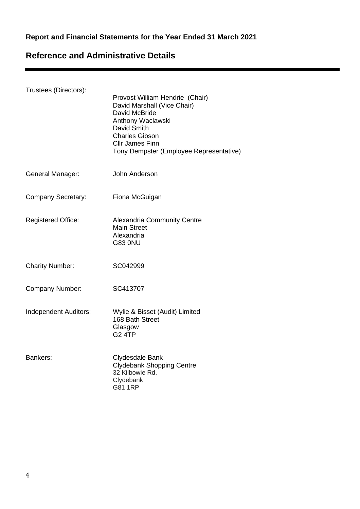# **Report and Financial Statements for the Year Ended 31 March 2021**

# **Reference and Administrative Details**

| Trustees (Directors):     | Provost William Hendrie (Chair)<br>David Marshall (Vice Chair)<br>David McBride<br>Anthony Waclawski<br>David Smith<br><b>Charles Gibson</b><br><b>CIIr James Finn</b><br>Tony Dempster (Employee Representative) |
|---------------------------|-------------------------------------------------------------------------------------------------------------------------------------------------------------------------------------------------------------------|
| General Manager:          | John Anderson                                                                                                                                                                                                     |
| <b>Company Secretary:</b> | Fiona McGuigan                                                                                                                                                                                                    |
| <b>Registered Office:</b> | <b>Alexandria Community Centre</b><br><b>Main Street</b><br>Alexandria<br><b>G83 0NU</b>                                                                                                                          |
| <b>Charity Number:</b>    | SC042999                                                                                                                                                                                                          |
| Company Number:           | SC413707                                                                                                                                                                                                          |
| Independent Auditors:     | Wylie & Bisset (Audit) Limited<br>168 Bath Street<br>Glasgow<br><b>G2 4TP</b>                                                                                                                                     |
| Bankers:                  | Clydesdale Bank<br>Clydebank Shopping Centre<br>32 Kilbowie Rd,<br>Clydebank<br>G81 1RP                                                                                                                           |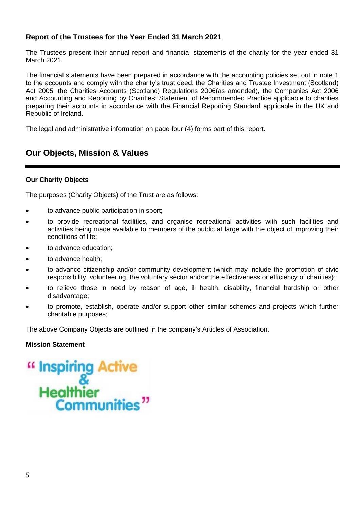The Trustees present their annual report and financial statements of the charity for the year ended 31 March 2021.

The financial statements have been prepared in accordance with the accounting policies set out in note 1 to the accounts and comply with the charity's trust deed, the Charities and Trustee Investment (Scotland) Act 2005, the Charities Accounts (Scotland) Regulations 2006(as amended), the Companies Act 2006 and Accounting and Reporting by Charities: Statement of Recommended Practice applicable to charities preparing their accounts in accordance with the Financial Reporting Standard applicable in the UK and Republic of Ireland.

The legal and administrative information on page four (4) forms part of this report.

# **Our Objects, Mission & Values**

### **Our Charity Objects**

The purposes (Charity Objects) of the Trust are as follows:

- to advance public participation in sport;
- to provide recreational facilities, and organise recreational activities with such facilities and activities being made available to members of the public at large with the object of improving their conditions of life;
- to advance education;
- to advance health;
- to advance citizenship and/or community development (which may include the promotion of civic responsibility, volunteering, the voluntary sector and/or the effectiveness or efficiency of charities);
- to relieve those in need by reason of age, ill health, disability, financial hardship or other disadvantage;
- to promote, establish, operate and/or support other similar schemes and projects which further charitable purposes;

The above Company Objects are outlined in the company's Articles of Association.

### **Mission Statement**

# " Inspiring Active<br>Healthier<br>Communities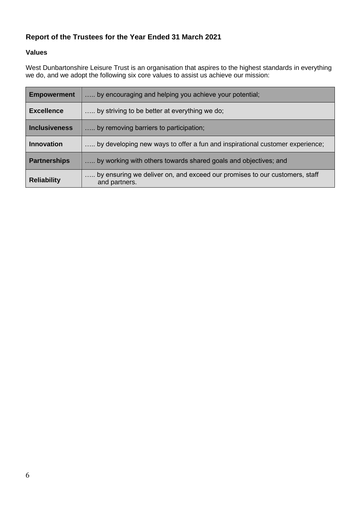# **Values**

West Dunbartonshire Leisure Trust is an organisation that aspires to the highest standards in everything we do, and we adopt the following six core values to assist us achieve our mission:

| <b>Empowerment</b>  | by encouraging and helping you achieve your potential;                                      |
|---------------------|---------------------------------------------------------------------------------------------|
| <b>Excellence</b>   | by striving to be better at everything we do;                                               |
| Inclusiveness       | by removing barriers to participation;                                                      |
| <b>Innovation</b>   | by developing new ways to offer a fun and inspirational customer experience;                |
| <b>Partnerships</b> | by working with others towards shared goals and objectives; and                             |
| <b>Reliability</b>  | by ensuring we deliver on, and exceed our promises to our customers, staff<br>and partners. |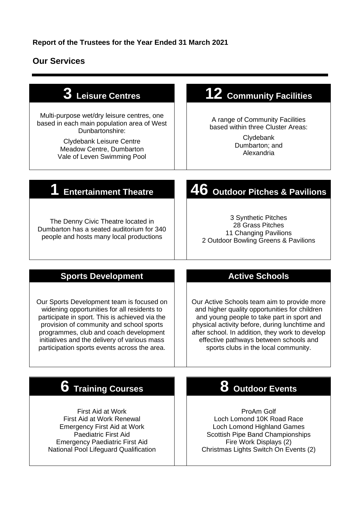# **Our Services**

| 3 Leisure Centres                                                                                                                                                                                                                                                                                                                | 12 Community Facilities                                                                                                                                                                                                                                                                                                           |
|----------------------------------------------------------------------------------------------------------------------------------------------------------------------------------------------------------------------------------------------------------------------------------------------------------------------------------|-----------------------------------------------------------------------------------------------------------------------------------------------------------------------------------------------------------------------------------------------------------------------------------------------------------------------------------|
| Multi-purpose wet/dry leisure centres, one<br>based in each main population area of West<br>Dunbartonshire:<br><b>Clydebank Leisure Centre</b><br>Meadow Centre, Dumbarton<br>Vale of Leven Swimming Pool                                                                                                                        | A range of Community Facilities<br>based within three Cluster Areas:<br>Clydebank<br>Dumbarton; and<br>Alexandria                                                                                                                                                                                                                 |
| <b>Entertainment Theatre</b>                                                                                                                                                                                                                                                                                                     | ${\bf 46}$ Outdoor Pitches & Pavilions                                                                                                                                                                                                                                                                                            |
| The Denny Civic Theatre located in<br>Dumbarton has a seated auditorium for 340<br>people and hosts many local productions                                                                                                                                                                                                       | 3 Synthetic Pitches<br>28 Grass Pitches<br>11 Changing Pavilions<br>2 Outdoor Bowling Greens & Pavilions                                                                                                                                                                                                                          |
| <b>Sports Development</b>                                                                                                                                                                                                                                                                                                        | <b>Active Schools</b>                                                                                                                                                                                                                                                                                                             |
| Our Sports Development team is focused on<br>widening opportunities for all residents to<br>participate in sport. This is achieved via the<br>provision of community and school sports<br>programmes, club and coach development<br>initiatives and the delivery of various mass<br>participation sports events across the area. | Our Active Schools team aim to provide more<br>and higher quality opportunities for children<br>and young people to take part in sport and<br>physical activity before, during lunchtime and<br>after school. In addition, they work to develop<br>effective pathways between schools and<br>sports clubs in the local community. |
| 6<br><b>Training Courses</b>                                                                                                                                                                                                                                                                                                     | 8 Outdoor Events                                                                                                                                                                                                                                                                                                                  |
| First Aid at Work                                                                                                                                                                                                                                                                                                                | ProAm Golf                                                                                                                                                                                                                                                                                                                        |

First Aid at Work Renewal Emergency First Aid at Work Paediatric First Aid Emergency Paediatric First Aid National Pool Lifeguard Qualification

# Loch Lomond 10K Road Race Loch Lomond Highland Games

Scottish Pipe Band Championships Fire Work Displays (2) Christmas Lights Switch On Events (2)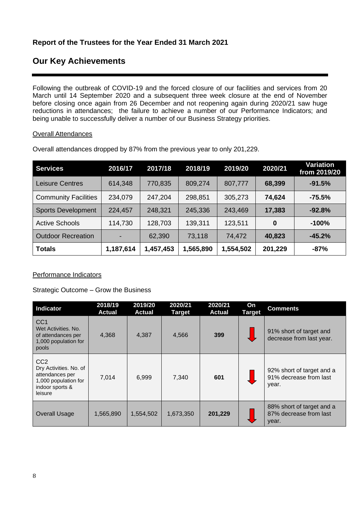# **Our Key Achievements**

Following the outbreak of COVID-19 and the forced closure of our facilities and services from 20 March until 14 September 2020 and a subsequent three week closure at the end of November before closing once again from 26 December and not reopening again during 2020/21 saw huge reductions in attendances; the failure to achieve a number of our Performance Indicators; and being unable to successfully deliver a number of our Business Strategy priorities.

### Overall Attendances

| <b>Services</b>             | 2016/17   | 2017/18   | 2018/19   | 2019/20   | 2020/21 | Variation<br>from 2019/20 |
|-----------------------------|-----------|-----------|-----------|-----------|---------|---------------------------|
| <b>Leisure Centres</b>      | 614,348   | 770,835   | 809,274   | 807,777   | 68,399  | $-91.5%$                  |
| <b>Community Facilities</b> | 234,079   | 247,204   | 298,851   | 305,273   | 74,624  | $-75.5%$                  |
| <b>Sports Development</b>   | 224,457   | 248,321   | 245,336   | 243,469   | 17,383  | $-92.8%$                  |
| <b>Active Schools</b>       | 114,730   | 128,703   | 139,311   | 123,511   | 0       | $-100%$                   |
| <b>Outdoor Recreation</b>   |           | 62,390    | 73,118    | 74,472    | 40,823  | $-45.2%$                  |
| <b>Totals</b>               | 1,187,614 | 1,457,453 | 1,565,890 | 1,554,502 | 201,229 | $-87%$                    |

Overall attendances dropped by 87% from the previous year to only 201,229.

# Performance Indicators

Strategic Outcome – Grow the Business

| <b>Indicator</b>                                                                                                   | 2018/19<br><b>Actual</b> | 2019/20<br><b>Actual</b> | 2020/21<br><b>Target</b> | 2020/21<br><b>Actual</b> | On<br><b>Target</b> | <b>Comments</b>                                              |
|--------------------------------------------------------------------------------------------------------------------|--------------------------|--------------------------|--------------------------|--------------------------|---------------------|--------------------------------------------------------------|
| CC <sub>1</sub><br>Wet Activities, No.<br>of attendances per<br>1,000 population for<br>pools                      | 4,368                    | 4,387                    | 4,566                    | 399                      |                     | 91% short of target and<br>decrease from last year.          |
| CC <sub>2</sub><br>Dry Activities. No. of<br>attendances per<br>1,000 population for<br>indoor sports &<br>leisure | 7,014                    | 6,999                    | 7,340                    | 601                      |                     | 92% short of target and a<br>91% decrease from last<br>year. |
| <b>Overall Usage</b>                                                                                               | 1,565,890                | 1,554,502                | 1,673,350                | 201,229                  |                     | 88% short of target and a<br>87% decrease from last<br>year. |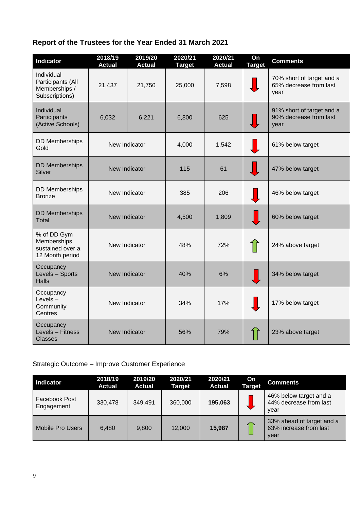| <b>Indicator</b>                                                   | 2018/19<br><b>Actual</b> | 2019/20<br><b>Actual</b> | 2020/21<br><b>Target</b> | 2020/21<br><b>Actual</b> | On<br><b>Target</b> | <b>Comments</b>                                             |
|--------------------------------------------------------------------|--------------------------|--------------------------|--------------------------|--------------------------|---------------------|-------------------------------------------------------------|
| Individual<br>Participants (All<br>Memberships /<br>Subscriptions) | 21,437                   | 21,750                   | 25,000                   | 7,598                    |                     | 70% short of target and a<br>65% decrease from last<br>year |
| Individual<br>Participants<br>(Active Schools)                     | 6,032                    | 6,221                    | 6,800                    | 625                      |                     | 91% short of target and a<br>90% decrease from last<br>year |
| <b>DD Memberships</b><br>Gold                                      | New Indicator            |                          | 4,000                    | 1,542                    |                     | 61% below target                                            |
| <b>DD Memberships</b><br>Silver                                    | New Indicator            |                          | 115                      | 61                       |                     | 47% below target                                            |
| <b>DD</b> Memberships<br><b>Bronze</b>                             | New Indicator            |                          | 385                      | 206                      |                     | 46% below target                                            |
| <b>DD Memberships</b><br><b>Total</b>                              | New Indicator            |                          | 4,500                    | 1,809                    |                     | 60% below target                                            |
| % of DD Gym<br>Memberships<br>sustained over a<br>12 Month period  | New Indicator            |                          | 48%                      | 72%                      |                     | 24% above target                                            |
| Occupancy<br>Levels - Sports<br><b>Halls</b>                       | New Indicator            |                          | 40%                      | 6%                       |                     | 34% below target                                            |
| Occupancy<br>Levels-<br>Community<br>Centres                       | New Indicator            |                          | 34%                      | 17%                      |                     | 17% below target                                            |
| Occupancy<br>Levels - Fitness<br><b>Classes</b>                    | New Indicator            |                          | 56%                      | 79%                      |                     | 23% above target                                            |

# Strategic Outcome – Improve Customer Experience

| Indicator                          | 2018/19<br><b>Actual</b> | 2019/20<br><b>Actual</b> | 2020/21<br><b>Target</b> | 2020/21<br><b>Actual</b> | On<br><b>Target</b> | <b>Comments</b>                                             |
|------------------------------------|--------------------------|--------------------------|--------------------------|--------------------------|---------------------|-------------------------------------------------------------|
| <b>Facebook Post</b><br>Engagement | 330,478                  | 349.491                  | 360,000                  | 195.063                  |                     | 46% below target and a<br>44% decrease from last<br>year    |
| Mobile Pro Users                   | 6.480                    | 9.800                    | 12,000                   | 15,987                   |                     | 33% ahead of target and a<br>63% increase from last<br>year |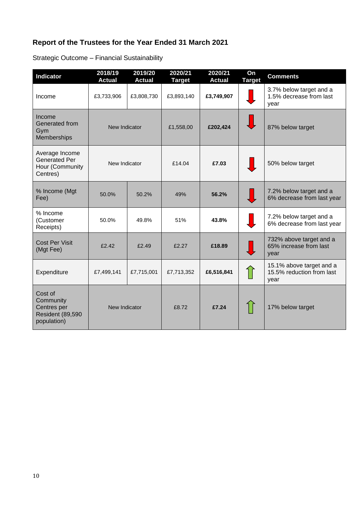Strategic Outcome – Financial Sustainability

| <b>Indicator</b>                                                               | 2018/19<br><b>Actual</b> | 2019/20<br><b>Actual</b> | 2020/21<br><b>Target</b> | 2020/21<br><b>Actual</b> | On<br><b>Target</b> | <b>Comments</b>                                               |
|--------------------------------------------------------------------------------|--------------------------|--------------------------|--------------------------|--------------------------|---------------------|---------------------------------------------------------------|
| Income                                                                         | £3,733,906               | £3,808,730               | £3,893,140               | £3,749,907               |                     | 3.7% below target and a<br>1.5% decrease from last<br>year    |
| Income<br>Generated from<br>Gym<br>Memberships                                 | New Indicator            |                          | £1,558,00                | £202,424                 |                     | 87% below target                                              |
| Average Income<br><b>Generated Per</b><br>Hour (Community<br>Centres)          | New Indicator            |                          | £14.04                   | £7.03                    |                     | 50% below target                                              |
| % Income (Mgt<br>Fee)                                                          | 50.0%                    | 50.2%                    | 49%                      | 56.2%                    |                     | 7.2% below target and a<br>6% decrease from last year         |
| % Income<br>(Customer<br>Receipts)                                             | 50.0%                    | 49.8%                    | 51%                      | 43.8%                    |                     | 7.2% below target and a<br>6% decrease from last year         |
| <b>Cost Per Visit</b><br>(Mgt Fee)                                             | £2.42                    | £2.49                    | £2.27                    | £18.89                   |                     | 732% above target and a<br>65% increase from last<br>year     |
| Expenditure                                                                    | £7,499,141               | £7,715,001               | £7,713,352               | £6,516,841               |                     | 15.1% above target and a<br>15.5% reduction from last<br>year |
| Cost of<br>Community<br>Centres per<br><b>Resident (89,590)</b><br>population) | New Indicator            |                          | £8.72                    | £7.24                    |                     | 17% below target                                              |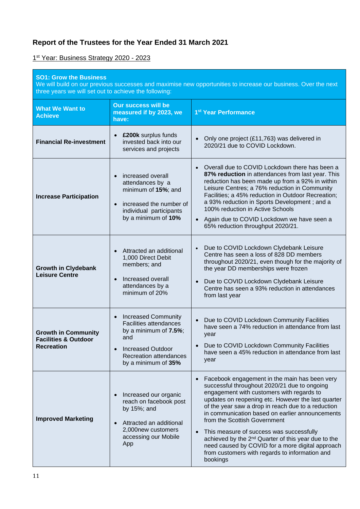1 st Year: Business Strategy 2020 - 2023

| <b>SO1: Grow the Business</b><br>We will build on our previous successes and maximise new opportunities to increase our business. Over the next<br>three years we will set out to achieve the following: |                                                                                                                                                                                           |                                                                                                                                                                                                                                                                                                                                                                                                                                                                                                                                                                                         |  |  |  |  |
|----------------------------------------------------------------------------------------------------------------------------------------------------------------------------------------------------------|-------------------------------------------------------------------------------------------------------------------------------------------------------------------------------------------|-----------------------------------------------------------------------------------------------------------------------------------------------------------------------------------------------------------------------------------------------------------------------------------------------------------------------------------------------------------------------------------------------------------------------------------------------------------------------------------------------------------------------------------------------------------------------------------------|--|--|--|--|
| <b>What We Want to</b><br><b>Achieve</b>                                                                                                                                                                 | <b>Our success will be</b><br>measured if by 2023, we<br>have:                                                                                                                            | 1 <sup>st</sup> Year Performance                                                                                                                                                                                                                                                                                                                                                                                                                                                                                                                                                        |  |  |  |  |
| <b>Financial Re-investment</b>                                                                                                                                                                           | £200k surplus funds<br>invested back into our<br>services and projects                                                                                                                    | Only one project (£11,763) was delivered in<br>$\bullet$<br>2020/21 due to COVID Lockdown.                                                                                                                                                                                                                                                                                                                                                                                                                                                                                              |  |  |  |  |
| <b>Increase Participation</b>                                                                                                                                                                            | increased overall<br>attendances by a<br>minimum of 15%; and<br>increased the number of<br>$\bullet$<br>individual participants<br>by a minimum of 10%                                    | • Overall due to COVID Lockdown there has been a<br>87% reduction in attendances from last year. This<br>reduction has been made up from a 92% in within<br>Leisure Centres; a 76% reduction in Community<br>Facilities; a 45% reduction in Outdoor Recreation;<br>a 93% reduction in Sports Development; and a<br>100% reduction in Active Schools<br>Again due to COVID Lockdown we have seen a<br>$\bullet$<br>65% reduction throughput 2020/21.                                                                                                                                     |  |  |  |  |
| <b>Growth in Clydebank</b><br><b>Leisure Centre</b>                                                                                                                                                      | Attracted an additional<br>1,000 Direct Debit<br>members; and<br>Increased overall<br>attendances by a<br>minimum of 20%                                                                  | Due to COVID Lockdown Clydebank Leisure<br>$\bullet$<br>Centre has seen a loss of 828 DD members<br>throughout 2020/21, even though for the majority of<br>the year DD memberships were frozen<br>• Due to COVID Lockdown Clydebank Leisure<br>Centre has seen a 93% reduction in attendances<br>from last year                                                                                                                                                                                                                                                                         |  |  |  |  |
| <b>Growth in Community</b><br><b>Facilities &amp; Outdoor</b><br><b>Recreation</b>                                                                                                                       | <b>Increased Community</b><br>$\bullet$<br><b>Facilities attendances</b><br>by a minimum of $7.5\%$ ;<br>and<br><b>Increased Outdoor</b><br>Recreation attendances<br>by a minimum of 35% | Due to COVID Lockdown Community Facilities<br>$\bullet$<br>have seen a 74% reduction in attendance from last<br>year<br>Due to COVID Lockdown Community Facilities<br>have seen a 45% reduction in attendance from last<br>year                                                                                                                                                                                                                                                                                                                                                         |  |  |  |  |
| <b>Improved Marketing</b>                                                                                                                                                                                | Increased our organic<br>reach on facebook post<br>by 15%; and<br>Attracted an additional<br>2,000new customers<br>accessing our Mobile<br>App                                            | Facebook engagement in the main has been very<br>successful throughout 2020/21 due to ongoing<br>engagement with customers with regards to<br>updates on reopening etc. However the last quarter<br>of the year saw a drop in reach due to a reduction<br>in communication based on earlier announcements<br>from the Scottish Government<br>This measure of success was successfully<br>$\bullet$<br>achieved by the 2 <sup>nd</sup> Quarter of this year due to the<br>need caused by COVID for a more digital approach<br>from customers with regards to information and<br>bookings |  |  |  |  |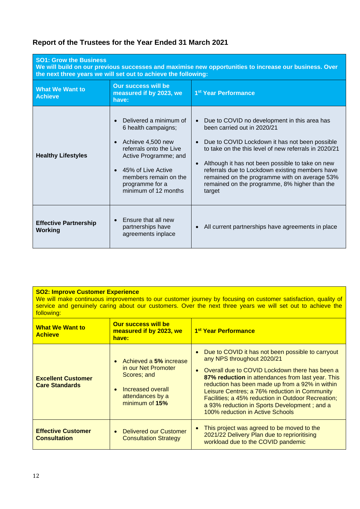| <b>SO1: Grow the Business</b><br>We will build on our previous successes and maximise new opportunities to increase our business. Over<br>the next three years we will set out to achieve the following: |                                                                                                                                                                                                                                            |                                                                                                                                                                                                                                                                                                                                                                                                                        |  |  |  |  |
|----------------------------------------------------------------------------------------------------------------------------------------------------------------------------------------------------------|--------------------------------------------------------------------------------------------------------------------------------------------------------------------------------------------------------------------------------------------|------------------------------------------------------------------------------------------------------------------------------------------------------------------------------------------------------------------------------------------------------------------------------------------------------------------------------------------------------------------------------------------------------------------------|--|--|--|--|
| <b>What We Want to</b><br><b>Achieve</b>                                                                                                                                                                 | <b>Our success will be</b><br>measured if by 2023, we<br>have:                                                                                                                                                                             | 1 <sup>st</sup> Year Performance                                                                                                                                                                                                                                                                                                                                                                                       |  |  |  |  |
| <b>Healthy Lifestyles</b>                                                                                                                                                                                | Delivered a minimum of<br>$\bullet$<br>6 health campaigns;<br>Achieve 4,500 new<br>$\bullet$<br>referrals onto the Live<br>Active Programme; and<br>45% of Live Active<br>members remain on the<br>programme for a<br>minimum of 12 months | Due to COVID no development in this area has<br>$\bullet$<br>been carried out in 2020/21<br>Due to COVID Lockdown it has not been possible<br>to take on the this level of new referrals in 2020/21<br>Although it has not been possible to take on new<br>referrals due to Lockdown existing members have<br>remained on the programme with on average 53%<br>remained on the programme, 8% higher than the<br>target |  |  |  |  |
| <b>Effective Partnership</b><br>Working                                                                                                                                                                  | Ensure that all new<br>$\bullet$<br>partnerships have<br>agreements inplace                                                                                                                                                                | All current partnerships have agreements in place                                                                                                                                                                                                                                                                                                                                                                      |  |  |  |  |

| <b>SO2: Improve Customer Experience</b><br>We will make continuous improvements to our customer journey by focusing on customer satisfaction, quality of<br>service and genuinely caring about our customers. Over the next three years we will set out to achieve the<br>following: |                                                         |                                            |  |
|--------------------------------------------------------------------------------------------------------------------------------------------------------------------------------------------------------------------------------------------------------------------------------------|---------------------------------------------------------|--------------------------------------------|--|
| <b>What We Want to</b><br><b>Achieve</b>                                                                                                                                                                                                                                             | Our success will be<br>measured if by 2023, we<br>have: | <u>  1<sup>st</sup> Year Performance  </u> |  |

| <b>Achieve</b>                                     | <u> III CASUI CU II DY ZUZJ. WE</u><br>have:                                                                              | <u> Teal Feliofiilance</u>                                                                                                                                                                                                                                                                                                                                                                                                               |
|----------------------------------------------------|---------------------------------------------------------------------------------------------------------------------------|------------------------------------------------------------------------------------------------------------------------------------------------------------------------------------------------------------------------------------------------------------------------------------------------------------------------------------------------------------------------------------------------------------------------------------------|
| <b>Excellent Customer</b><br><b>Care Standards</b> | • Achieved a 5% increase<br>in our Net Promoter<br>Scores; and<br>Increased overall<br>attendances by a<br>minimum of 15% | • Due to COVID it has not been possible to carryout<br>any NPS throughout 2020/21<br>• Overall due to COVID Lockdown there has been a<br>87% reduction in attendances from last year. This<br>reduction has been made up from a 92% in within<br>Leisure Centres; a 76% reduction in Community<br>Facilities; a 45% reduction in Outdoor Recreation;<br>a 93% reduction in Sports Development; and a<br>100% reduction in Active Schools |
| <b>Effective Customer</b><br><b>Consultation</b>   | • Delivered our Customer<br><b>Consultation Strategy</b>                                                                  | This project was agreed to be moved to the<br>2021/22 Delivery Plan due to reprioritising<br>workload due to the COVID pandemic                                                                                                                                                                                                                                                                                                          |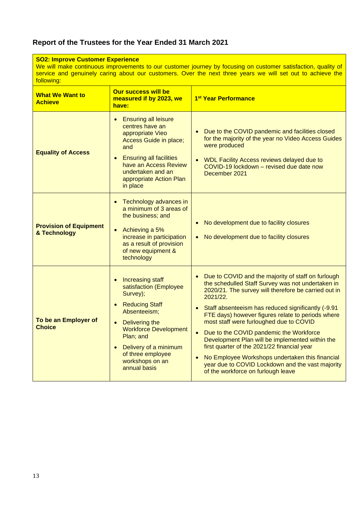| <b>SO2: Improve Customer Experience</b><br>We will make continuous improvements to our customer journey by focusing on customer satisfaction, quality of<br>service and genuinely caring about our customers. Over the next three years we will set out to achieve the<br>following: |                                                                                                                                                                                                                                                 |                                                                                                                                                                                                                                                                                                                                                                                                                                                                                                                                                                                                                                                                     |  |  |
|--------------------------------------------------------------------------------------------------------------------------------------------------------------------------------------------------------------------------------------------------------------------------------------|-------------------------------------------------------------------------------------------------------------------------------------------------------------------------------------------------------------------------------------------------|---------------------------------------------------------------------------------------------------------------------------------------------------------------------------------------------------------------------------------------------------------------------------------------------------------------------------------------------------------------------------------------------------------------------------------------------------------------------------------------------------------------------------------------------------------------------------------------------------------------------------------------------------------------------|--|--|
| <b>Our success will be</b><br><b>What We Want to</b><br>measured if by 2023, we<br><b>Achieve</b><br>have:                                                                                                                                                                           |                                                                                                                                                                                                                                                 | 1 <sup>st</sup> Year Performance                                                                                                                                                                                                                                                                                                                                                                                                                                                                                                                                                                                                                                    |  |  |
| <b>Equality of Access</b>                                                                                                                                                                                                                                                            | <b>Ensuring all leisure</b><br>$\bullet$<br>centres have an<br>appropriate Vieo<br>Access Guide in place;<br>and<br><b>Ensuring all facilities</b><br>have an Access Review<br>undertaken and an<br>appropriate Action Plan<br>in place         | Due to the COVID pandemic and facilities closed<br>for the majority of the year no Video Access Guides<br>were produced<br>WDL Facility Access reviews delayed due to<br>$\bullet$<br>COVID-19 lockdown - revised due date now<br>December 2021                                                                                                                                                                                                                                                                                                                                                                                                                     |  |  |
| <b>Provision of Equipment</b><br>& Technology                                                                                                                                                                                                                                        | Technology advances in<br>a minimum of 3 areas of<br>the business; and<br>Achieving a 5%<br>$\bullet$<br>increase in participation<br>as a result of provision<br>of new equipment &<br>technology                                              | No development due to facility closures<br>$\bullet$<br>No development due to facility closures<br>$\bullet$                                                                                                                                                                                                                                                                                                                                                                                                                                                                                                                                                        |  |  |
| To be an Employer of<br><b>Choice</b>                                                                                                                                                                                                                                                | Increasing staff<br>satisfaction (Employee<br>Survey);<br><b>Reducing Staff</b><br>Absenteeism;<br>Delivering the<br><b>Workforce Development</b><br>Plan; and<br>Delivery of a minimum<br>of three employee<br>workshops on an<br>annual basis | Due to COVID and the majority of staff on furlough<br>$\bullet$<br>the schedulled Staff Survey was not undertaken in<br>2020/21. The survey will therefore be carried out in<br>2021/22.<br>Staff absenteeism has reduced significantly (-9.91)<br>$\bullet$<br>FTE days) however figures relate to periods where<br>most staff were furloughed due to COVID<br>Due to the COVID pandemic the Workforce<br>$\bullet$<br>Development Plan will be implemented within the<br>first quarter of the 2021/22 financial year<br>No Employee Workshops undertaken this financial<br>year due to COVID Lockdown and the vast majority<br>of the workforce on furlough leave |  |  |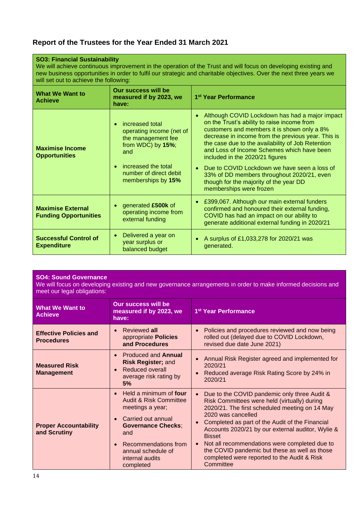| <b>SO3: Financial Sustainability</b><br>We will achieve continuous improvement in the operation of the Trust and will focus on developing existing and<br>new business opportunities in order to fulfil our strategic and charitable objectives. Over the next three years we<br>will set out to achieve the following: |                                                                                                                                                                                                |                                                                                                                                                                                                                                                                                                                                                                                                                                                                                                                                       |  |  |
|-------------------------------------------------------------------------------------------------------------------------------------------------------------------------------------------------------------------------------------------------------------------------------------------------------------------------|------------------------------------------------------------------------------------------------------------------------------------------------------------------------------------------------|---------------------------------------------------------------------------------------------------------------------------------------------------------------------------------------------------------------------------------------------------------------------------------------------------------------------------------------------------------------------------------------------------------------------------------------------------------------------------------------------------------------------------------------|--|--|
| <b>What We Want to</b><br><b>Achieve</b>                                                                                                                                                                                                                                                                                | Our success will be<br>1 <sup>st</sup> Year Performance<br>measured if by 2023, we<br>have:                                                                                                    |                                                                                                                                                                                                                                                                                                                                                                                                                                                                                                                                       |  |  |
| <b>Maximise Income</b><br><b>Opportunities</b>                                                                                                                                                                                                                                                                          | increased total<br>$\bullet$<br>operating income (net of<br>the management fee<br>from WDC) by 15%;<br>and<br>increased the total<br>$\bullet$<br>number of direct debit<br>memberships by 15% | Although COVID Lockdown has had a major impact<br>$\bullet$<br>on the Trust's ability to raise income from<br>customers and members it is shown only a 8%<br>decrease in income from the previous year. This is<br>the case due to the availability of Job Retention<br>and Loss of Income Schemes which have been<br>included in the 2020/21 figures<br>Due to COVID Lockdown we have seen a loss of<br>$\bullet$<br>33% of DD members throughout 2020/21, even<br>though for the majority of the year DD<br>memberships were frozen |  |  |
| <b>Maximise External</b><br><b>Funding Opportunities</b>                                                                                                                                                                                                                                                                | generated £500k of<br>operating income from<br>external funding                                                                                                                                | £399,067. Although our main external funders<br>$\bullet$<br>confirmed and honoured their external funding,<br>COVID has had an impact on our ability to<br>generate additional external funding in 2020/21                                                                                                                                                                                                                                                                                                                           |  |  |
| <b>Successful Control of</b><br><b>Expenditure</b>                                                                                                                                                                                                                                                                      | Delivered a year on<br>$\bullet$<br>year surplus or<br>balanced budget                                                                                                                         | A surplus of £1,033,278 for 2020/21 was<br>$\bullet$<br>generated.                                                                                                                                                                                                                                                                                                                                                                                                                                                                    |  |  |

### **SO4: Sound Governance**

We will focus on developing existing and new governance arrangements in order to make informed decisions and meet our legal obligations:

| <b>What We Want to</b><br><b>Achieve</b>           | <b>Our success will be</b><br>measured if by 2023, we<br>have:                                                                                                                                                                                                        | 1 <sup>st</sup> Year Performance                                                                                                                                                                                                                                                                                                                                                                                                                            |  |  |
|----------------------------------------------------|-----------------------------------------------------------------------------------------------------------------------------------------------------------------------------------------------------------------------------------------------------------------------|-------------------------------------------------------------------------------------------------------------------------------------------------------------------------------------------------------------------------------------------------------------------------------------------------------------------------------------------------------------------------------------------------------------------------------------------------------------|--|--|
| <b>Effective Policies and</b><br><b>Procedures</b> | Reviewed all<br>$\bullet$<br>appropriate Policies<br>and Procedures                                                                                                                                                                                                   | Policies and procedures reviewed and now being<br>rolled out (delayed due to COVID Lockdown,<br>revised due date June 2021)                                                                                                                                                                                                                                                                                                                                 |  |  |
| <b>Measured Risk</b><br><b>Management</b>          | <b>Produced and Annual</b><br>$\bullet$<br><b>Risk Register; and</b><br>Reduced overall<br>$\bullet$<br>average risk rating by<br>5%                                                                                                                                  | Annual Risk Register agreed and implemented for<br>2020/21<br>Reduced average Risk Rating Score by 24% in<br>2020/21                                                                                                                                                                                                                                                                                                                                        |  |  |
| <b>Proper Accountability</b><br>and Scrutiny       | Held a minimum of <b>four</b><br>$\bullet$<br><b>Audit &amp; Risk Committee</b><br>meetings a year;<br>Carried out annual<br>$\bullet$<br><b>Governance Checks;</b><br>and<br>Recommendations from<br>$\bullet$<br>annual schedule of<br>internal audits<br>completed | Due to the COVID pandemic only three Audit &<br>Risk Committees were held (virtually) during<br>2020/21. The first scheduled meeting on 14 May<br>2020 was cancelled<br>Completed as part of the Audit of the Financial<br>Accounts 2020/21 by our external auditor, Wylie &<br><b>Bisset</b><br>Not all recommendations were completed due to<br>the COVID pandemic but these as well as those<br>completed were reported to the Audit & Risk<br>Committee |  |  |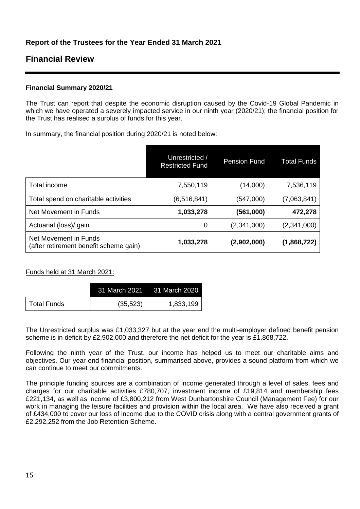# **Financial Review**

# **Financial Summary 2020/21**

The Trust can report that despite the economic disruption caused by the Covid-19 Global Pandemic in which we have operated a severely impacted service in our ninth year (2020/21); the financial position for the Trust has realised a surplus of funds for this year.

In summary, the financial position during 2020/21 is noted below:

|                                                                 | Unrestricted /<br><b>Restricted Fund</b> | <b>Pension Fund</b> | <b>Total Funds</b> |
|-----------------------------------------------------------------|------------------------------------------|---------------------|--------------------|
| Total income                                                    | 7,550,119                                | (14,000)            | 7,536,119          |
| Total spend on charitable activities                            | (6, 516, 841)                            | (547,000)           | (7,063,841)        |
| Net Movement in Funds                                           | 1,033,278                                | (561,000)           | 472,278            |
| Actuarial (loss)/ gain                                          | 0                                        | (2,341,000)         | (2,341,000)        |
| Net Movement in Funds<br>(after retirement benefit scheme gain) | 1,033,278                                | (2,902,000)         | (1,868,722)        |

# Funds held at 31 March 2021:

|             |           | 31 March 2021 31 March 2020 |
|-------------|-----------|-----------------------------|
| Total Funds | (35, 523) | 1,833,199                   |

The Unrestricted surplus was £1,033,327 but at the year end the multi-employer defined benefit pension scheme is in deficit by £2,902,000 and therefore the net deficit for the year is £1,868,722.

Following the ninth year of the Trust, our income has helped us to meet our charitable aims and objectives. Our year-end financial position, summarised above, provides a sound platform from which we can continue to meet our commitments.

The principle funding sources are a combination of income generated through a level of sales, fees and charges for our charitable activities £780,707, investment income of £19,814 and membership fees £221,134, as well as income of £3,800,212 from West Dunbartonshire Council (Management Fee) for our work in managing the leisure facilities and provision within the local area. We have also received a grant of £434,000 to cover our loss of income due to the COVID crisis along with a central government grants of £2,292,252 from the Job Retention Scheme.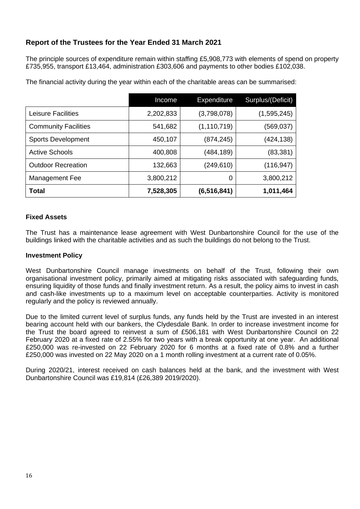The principle sources of expenditure remain within staffing £5,908,773 with elements of spend on property £735,955, transport £13,464, administration £303,606 and payments to other bodies £102,038.

|                             | Income    | <b>Expenditure</b> | Surplus/(Deficit) |
|-----------------------------|-----------|--------------------|-------------------|
| Leisure Facilities          | 2,202,833 | (3,798,078)        | (1,595,245)       |
| <b>Community Facilities</b> | 541,682   | (1, 110, 719)      | (569,037)         |
| <b>Sports Development</b>   | 450,107   | (874, 245)         | (424,138)         |
| <b>Active Schools</b>       | 400,808   | (484,189)          | (83, 381)         |
| <b>Outdoor Recreation</b>   | 132,663   | (249, 610)         | (116,947)         |
| Management Fee              | 3,800,212 | 0                  | 3,800,212         |
| <b>Total</b>                | 7,528,305 | (6, 516, 841)      | 1,011,464         |

The financial activity during the year within each of the charitable areas can be summarised:

### **Fixed Assets**

The Trust has a maintenance lease agreement with West Dunbartonshire Council for the use of the buildings linked with the charitable activities and as such the buildings do not belong to the Trust.

### **Investment Policy**

West Dunbartonshire Council manage investments on behalf of the Trust, following their own organisational investment policy, primarily aimed at mitigating risks associated with safeguarding funds, ensuring liquidity of those funds and finally investment return. As a result, the policy aims to invest in cash and cash-like investments up to a maximum level on acceptable counterparties. Activity is monitored regularly and the policy is reviewed annually.

Due to the limited current level of surplus funds, any funds held by the Trust are invested in an interest bearing account held with our bankers, the Clydesdale Bank. In order to increase investment income for the Trust the board agreed to reinvest a sum of £506,181 with West Dunbartonshire Council on 22 February 2020 at a fixed rate of 2.55% for two years with a break opportunity at one year. An additional £250,000 was re-invested on 22 February 2020 for 6 months at a fixed rate of 0.8% and a further £250,000 was invested on 22 May 2020 on a 1 month rolling investment at a current rate of 0.05%.

During 2020/21, interest received on cash balances held at the bank, and the investment with West Dunbartonshire Council was £19,814 (£26,389 2019/2020).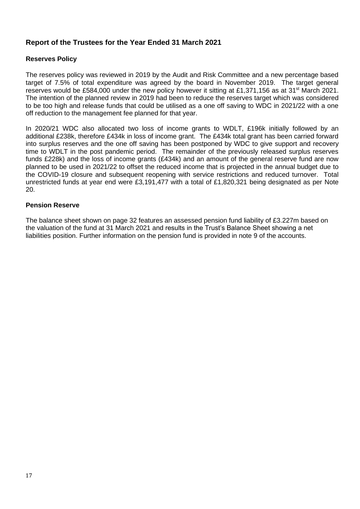# **Reserves Policy**

The reserves policy was reviewed in 2019 by the Audit and Risk Committee and a new percentage based target of 7.5% of total expenditure was agreed by the board in November 2019. The target general reserves would be £584,000 under the new policy however it sitting at £1,371,156 as at 31<sup>st</sup> March 2021. The intention of the planned review in 2019 had been to reduce the reserves target which was considered to be too high and release funds that could be utilised as a one off saving to WDC in 2021/22 with a one off reduction to the management fee planned for that year.

In 2020/21 WDC also allocated two loss of income grants to WDLT, £196k initially followed by an additional £238k, therefore £434k in loss of income grant. The £434k total grant has been carried forward into surplus reserves and the one off saving has been postponed by WDC to give support and recovery time to WDLT in the post pandemic period. The remainder of the previously released surplus reserves funds £228k) and the loss of income grants (£434k) and an amount of the general reserve fund are now planned to be used in 2021/22 to offset the reduced income that is projected in the annual budget due to the COVID-19 closure and subsequent reopening with service restrictions and reduced turnover. Total unrestricted funds at year end were £3,191,477 with a total of £1,820,321 being designated as per Note 20.

### **Pension Reserve**

The balance sheet shown on page 32 features an assessed pension fund liability of £3.227m based on the valuation of the fund at 31 March 2021 and results in the Trust's Balance Sheet showing a net liabilities position. Further information on the pension fund is provided in note 9 of the accounts.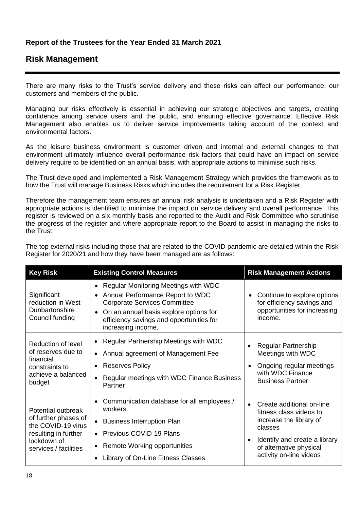# **Risk Management**

There are many risks to the Trust's service delivery and these risks can affect our performance, our customers and members of the public.

Managing our risks effectively is essential in achieving our strategic objectives and targets, creating confidence among service users and the public, and ensuring effective governance. Effective Risk Management also enables us to deliver service improvements taking account of the context and environmental factors.

As the leisure business environment is customer driven and internal and external changes to that environment ultimately influence overall performance risk factors that could have an impact on service delivery require to be identified on an annual basis, with appropriate actions to minimise such risks.

The Trust developed and implemented a Risk Management Strategy which provides the framework as to how the Trust will manage Business Risks which includes the requirement for a Risk Register.

Therefore the management team ensures an annual risk analysis is undertaken and a Risk Register with appropriate actions is identified to minimise the impact on service delivery and overall performance. This register is reviewed on a six monthly basis and reported to the Audit and Risk Committee who scrutinise the progress of the register and where appropriate report to the Board to assist in managing the risks to the Trust.

The top external risks including those that are related to the COVID pandemic are detailed within the Risk Register for 2020/21 and how they have been managed are as follows:

| <b>Key Risk</b>                                                                                                                  | <b>Existing Control Measures</b>                                                                                                                                                                                                                                   | <b>Risk Management Actions</b>                                                                                                                                                    |  |
|----------------------------------------------------------------------------------------------------------------------------------|--------------------------------------------------------------------------------------------------------------------------------------------------------------------------------------------------------------------------------------------------------------------|-----------------------------------------------------------------------------------------------------------------------------------------------------------------------------------|--|
| Significant<br>reduction in West<br>Dunbartonshire<br>Council funding                                                            | Regular Monitoring Meetings with WDC<br>$\bullet$<br>Annual Performance Report to WDC<br>$\bullet$<br><b>Corporate Services Committee</b><br>On an annual basis explore options for<br>$\bullet$<br>efficiency savings and opportunities for<br>increasing income. | Continue to explore options<br>for efficiency savings and<br>opportunities for increasing<br>income.                                                                              |  |
| <b>Reduction of level</b><br>of reserves due to<br>financial<br>constraints to<br>achieve a balanced<br>budget                   | Regular Partnership Meetings with WDC<br>Annual agreement of Management Fee<br>٠<br><b>Reserves Policy</b><br>$\bullet$<br>Regular meetings with WDC Finance Business<br>Partner                                                                                   | <b>Regular Partnership</b><br>Meetings with WDC<br>Ongoing regular meetings<br>with WDC Finance<br><b>Business Partner</b>                                                        |  |
| Potential outbreak<br>of further phases of<br>the COVID-19 virus<br>resulting in further<br>lockdown of<br>services / facilities | Communication database for all employees /<br>$\bullet$<br>workers<br><b>Business Interruption Plan</b><br>$\bullet$<br>Previous COVID-19 Plans<br>$\bullet$<br>Remote Working opportunities<br>٠<br>Library of On-Line Fitness Classes                            | Create additional on-line<br>fitness class videos to<br>increase the library of<br>classes<br>Identify and create a library<br>of alternative physical<br>activity on-line videos |  |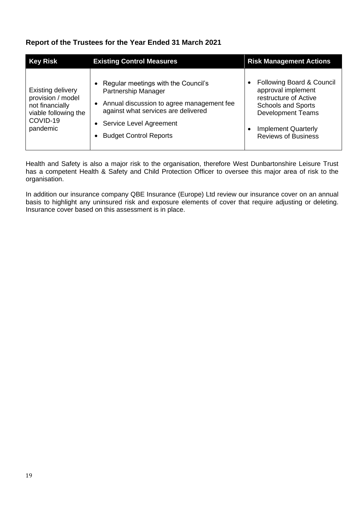| <b>Key Risk</b>                                                                                                  | <b>Existing Control Measures</b>                                                                                                                                                                                 | <b>Risk Management Actions</b>                                                                                                                                                                             |
|------------------------------------------------------------------------------------------------------------------|------------------------------------------------------------------------------------------------------------------------------------------------------------------------------------------------------------------|------------------------------------------------------------------------------------------------------------------------------------------------------------------------------------------------------------|
| <b>Existing delivery</b><br>provision / model<br>not financially<br>viable following the<br>COVID-19<br>pandemic | • Regular meetings with the Council's<br>Partnership Manager<br>• Annual discussion to agree management fee<br>against what services are delivered<br>• Service Level Agreement<br><b>Budget Control Reports</b> | Following Board & Council<br>$\bullet$<br>approval implement<br>restructure of Active<br><b>Schools and Sports</b><br><b>Development Teams</b><br><b>Implement Quarterly</b><br><b>Reviews of Business</b> |

Health and Safety is also a major risk to the organisation, therefore West Dunbartonshire Leisure Trust has a competent Health & Safety and Child Protection Officer to oversee this major area of risk to the organisation.

In addition our insurance company QBE Insurance (Europe) Ltd review our insurance cover on an annual basis to highlight any uninsured risk and exposure elements of cover that require adjusting or deleting. Insurance cover based on this assessment is in place.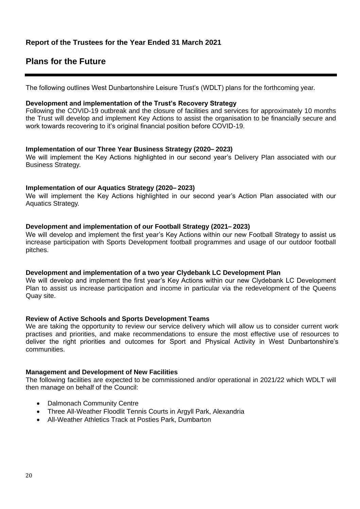# **Plans for the Future**

The following outlines West Dunbartonshire Leisure Trust's (WDLT) plans for the forthcoming year.

### **Development and implementation of the Trust's Recovery Strategy**

Following the COVID-19 outbreak and the closure of facilities and services for approximately 10 months the Trust will develop and implement Key Actions to assist the organisation to be financially secure and work towards recovering to it's original financial position before COVID-19.

### **Implementation of our Three Year Business Strategy (2020– 2023)**

We will implement the Key Actions highlighted in our second year's Delivery Plan associated with our Business Strategy.

### **Implementation of our Aquatics Strategy (2020– 2023)**

We will implement the Key Actions highlighted in our second year's Action Plan associated with our Aquatics Strategy.

### **Development and implementation of our Football Strategy (2021– 2023)**

We will develop and implement the first year's Key Actions within our new Football Strategy to assist us increase participation with Sports Development football programmes and usage of our outdoor football pitches.

### **Development and implementation of a two year Clydebank LC Development Plan**

We will develop and implement the first year's Key Actions within our new Clydebank LC Development Plan to assist us increase participation and income in particular via the redevelopment of the Queens Quay site.

### **Review of Active Schools and Sports Development Teams**

We are taking the opportunity to review our service delivery which will allow us to consider current work practises and priorities, and make recommendations to ensure the most effective use of resources to deliver the right priorities and outcomes for Sport and Physical Activity in West Dunbartonshire's communities.

### **Management and Development of New Facilities**

The following facilities are expected to be commissioned and/or operational in 2021/22 which WDLT will then manage on behalf of the Council:

- **Dalmonach Community Centre**
- Three All-Weather Floodlit Tennis Courts in Argyll Park, Alexandria
- All-Weather Athletics Track at Posties Park, Dumbarton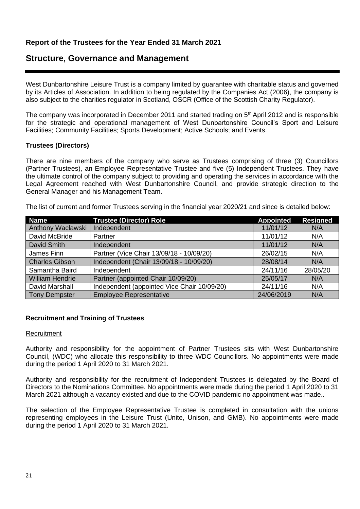# **Structure, Governance and Management**

West Dunbartonshire Leisure Trust is a company limited by guarantee with charitable status and governed by its Articles of Association. In addition to being regulated by the Companies Act (2006), the company is also subject to the charities regulator in Scotland, OSCR (Office of the Scottish Charity Regulator).

The company was incorporated in December 2011 and started trading on 5<sup>th</sup> April 2012 and is responsible for the strategic and operational management of West Dunbartonshire Council's Sport and Leisure Facilities; Community Facilities; Sports Development; Active Schools; and Events.

### **Trustees (Directors)**

There are nine members of the company who serve as Trustees comprising of three (3) Councillors (Partner Trustees), an Employee Representative Trustee and five (5) Independent Trustees. They have the ultimate control of the company subject to providing and operating the services in accordance with the Legal Agreement reached with West Dunbartonshire Council, and provide strategic direction to the General Manager and his Management Team.

The list of current and former Trustees serving in the financial year 2020/21 and since is detailed below:

| <b>Name</b>              | <b>Trustee (Director) Role</b>              | <b>Appointed</b> | <b>Resigned</b> |
|--------------------------|---------------------------------------------|------------------|-----------------|
| <b>Anthony Waclawski</b> | Independent                                 | 11/01/12         | N/A             |
| David McBride            | Partner                                     | 11/01/12         | N/A             |
| David Smith              | Independent                                 | 11/01/12         | N/A             |
| James Finn               | Partner (Vice Chair 13/09/18 - 10/09/20)    | 26/02/15         | N/A             |
| <b>Charles Gibson</b>    | Independent (Chair 13/09/18 - 10/09/20)     | 28/08/14         | N/A             |
| Samantha Baird           | Independent                                 | 24/11/16         | 28/05/20        |
| <b>William Hendrie</b>   | Partner (appointed Chair 10/09/20)          | 25/05/17         | N/A             |
| David Marshall           | Independent (appointed Vice Chair 10/09/20) | 24/11/16         | N/A             |
| <b>Tony Dempster</b>     | <b>Employee Representative</b>              | 24/06/2019       | N/A             |

### **Recruitment and Training of Trustees**

### **Recruitment**

Authority and responsibility for the appointment of Partner Trustees sits with West Dunbartonshire Council, (WDC) who allocate this responsibility to three WDC Councillors. No appointments were made during the period 1 April 2020 to 31 March 2021.

Authority and responsibility for the recruitment of Independent Trustees is delegated by the Board of Directors to the Nominations Committee. No appointments were made during the period 1 April 2020 to 31 March 2021 although a vacancy existed and due to the COVID pandemic no appointment was made..

The selection of the Employee Representative Trustee is completed in consultation with the unions representing employees in the Leisure Trust (Unite, Unison, and GMB). No appointments were made during the period 1 April 2020 to 31 March 2021.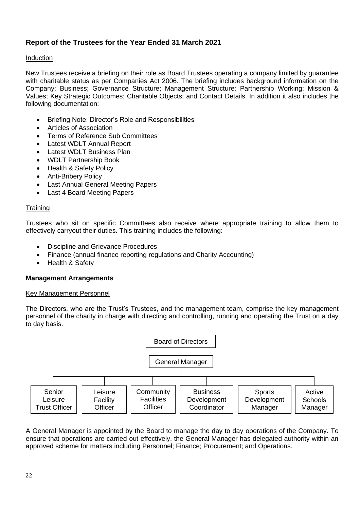# Induction

New Trustees receive a briefing on their role as Board Trustees operating a company limited by guarantee with charitable status as per Companies Act 2006. The briefing includes background information on the Company; Business; Governance Structure; Management Structure; Partnership Working; Mission & Values; Key Strategic Outcomes; Charitable Objects; and Contact Details. In addition it also includes the following documentation:

- Briefing Note: Director's Role and Responsibilities
- Articles of Association
- Terms of Reference Sub Committees
- Latest WDLT Annual Report
- Latest WDLT Business Plan
- WDLT Partnership Book
- Health & Safety Policy
- Anti-Bribery Policy
- Last Annual General Meeting Papers
- Last 4 Board Meeting Papers

### **Training**

Trustees who sit on specific Committees also receive where appropriate training to allow them to effectively carryout their duties. This training includes the following:

- Discipline and Grievance Procedures
- Finance (annual finance reporting regulations and Charity Accounting)
- Health & Safety

### **Management Arrangements**

### Key Management Personnel

The Directors, who are the Trust's Trustees, and the management team, comprise the key management personnel of the charity in charge with directing and controlling, running and operating the Trust on a day to day basis.



A General Manager is appointed by the Board to manage the day to day operations of the Company. To ensure that operations are carried out effectively, the General Manager has delegated authority within an approved scheme for matters including Personnel; Finance; Procurement; and Operations.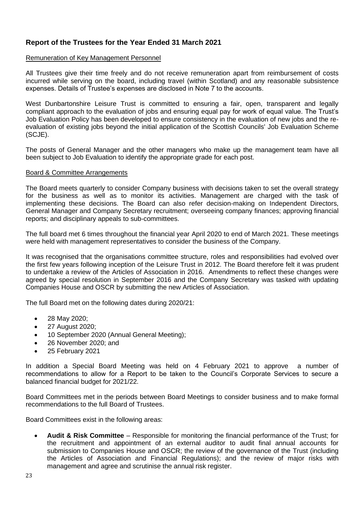### Remuneration of Key Management Personnel

All Trustees give their time freely and do not receive remuneration apart from reimbursement of costs incurred while serving on the board, including travel (within Scotland) and any reasonable subsistence expenses. Details of Trustee's expenses are disclosed in Note 7 to the accounts.

West Dunbartonshire Leisure Trust is committed to ensuring a fair, open, transparent and legally compliant approach to the evaluation of jobs and ensuring equal pay for work of equal value. The Trust's Job Evaluation Policy has been developed to ensure consistency in the evaluation of new jobs and the reevaluation of existing jobs beyond the initial application of the Scottish Councils' Job Evaluation Scheme (SCJE).

The posts of General Manager and the other managers who make up the management team have all been subject to Job Evaluation to identify the appropriate grade for each post.

### Board & Committee Arrangements

The Board meets quarterly to consider Company business with decisions taken to set the overall strategy for the business as well as to monitor its activities. Management are charged with the task of implementing these decisions. The Board can also refer decision-making on Independent Directors, General Manager and Company Secretary recruitment; overseeing company finances; approving financial reports; and disciplinary appeals to sub-committees.

The full board met 6 times throughout the financial year April 2020 to end of March 2021. These meetings were held with management representatives to consider the business of the Company.

It was recognised that the organisations committee structure, roles and responsibilities had evolved over the first few years following inception of the Leisure Trust in 2012. The Board therefore felt it was prudent to undertake a review of the Articles of Association in 2016. Amendments to reflect these changes were agreed by special resolution in September 2016 and the Company Secretary was tasked with updating Companies House and OSCR by submitting the new Articles of Association.

The full Board met on the following dates during 2020/21:

- 28 May 2020;
- 27 August 2020;
- 10 September 2020 (Annual General Meeting);
- 26 November 2020; and
- 25 February 2021

In addition a Special Board Meeting was held on 4 February 2021 to approve a number of recommendations to allow for a Report to be taken to the Council's Corporate Services to secure a balanced financial budget for 2021/22.

Board Committees met in the periods between Board Meetings to consider business and to make formal recommendations to the full Board of Trustees.

Board Committees exist in the following areas:

• **Audit & Risk Committee** – Responsible for monitoring the financial performance of the Trust; for the recruitment and appointment of an external auditor to audit final annual accounts for submission to Companies House and OSCR; the review of the governance of the Trust (including the Articles of Association and Financial Regulations); and the review of major risks with management and agree and scrutinise the annual risk register.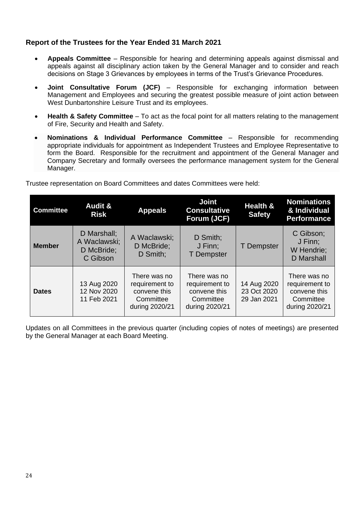- **Appeals Committee** Responsible for hearing and determining appeals against dismissal and appeals against all disciplinary action taken by the General Manager and to consider and reach decisions on Stage 3 Grievances by employees in terms of the Trust's Grievance Procedures.
- **Joint Consultative Forum (JCF)**  Responsible for exchanging information between Management and Employees and securing the greatest possible measure of joint action between West Dunbartonshire Leisure Trust and its employees.
- **Health & Safety Committee** To act as the focal point for all matters relating to the management of Fire, Security and Health and Safety.
- **Nominations & Individual Performance Committee**  Responsible for recommending appropriate individuals for appointment as Independent Trustees and Employee Representative to form the Board. Responsible for the recruitment and appointment of the General Manager and Company Secretary and formally oversees the performance management system for the General Manager.

| <b>Committee</b> | <b>Audit &amp;</b><br><b>Risk</b>                     | <b>Appeals</b>                                                                | <b>Joint</b><br><b>Consultative</b><br>Forum (JCF)                            | <b>Health &amp;</b><br><b>Safety</b>      | <b>Nominations</b><br>& Individual<br><b>Performance</b>                      |
|------------------|-------------------------------------------------------|-------------------------------------------------------------------------------|-------------------------------------------------------------------------------|-------------------------------------------|-------------------------------------------------------------------------------|
| <b>Member</b>    | D Marshall:<br>A Waclawski;<br>D McBride;<br>C Gibson | A Waclawski;<br>D McBride;<br>D Smith;                                        | D Smith;<br>J Finn;<br><b>T</b> Dempster                                      | <b>T</b> Dempster                         | C Gibson;<br>J Finn;<br>W Hendrie;<br><b>D</b> Marshall                       |
| <b>Dates</b>     | 13 Aug 2020<br>12 Nov 2020<br>11 Feb 2021             | There was no<br>requirement to<br>convene this<br>Committee<br>during 2020/21 | There was no<br>requirement to<br>convene this<br>Committee<br>during 2020/21 | 14 Aug 2020<br>23 Oct 2020<br>29 Jan 2021 | There was no<br>requirement to<br>convene this<br>Committee<br>during 2020/21 |

Trustee representation on Board Committees and dates Committees were held:

Updates on all Committees in the previous quarter (including copies of notes of meetings) are presented by the General Manager at each Board Meeting.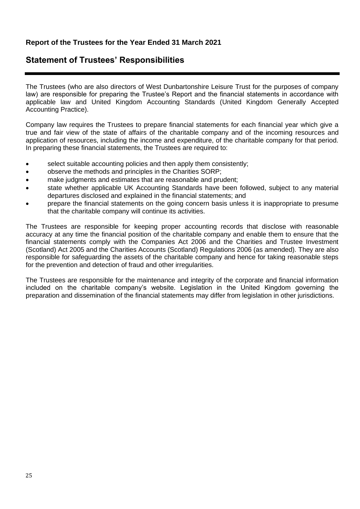# **Statement of Trustees' Responsibilities**

The Trustees (who are also directors of West Dunbartonshire Leisure Trust for the purposes of company law) are responsible for preparing the Trustee's Report and the financial statements in accordance with applicable law and United Kingdom Accounting Standards (United Kingdom Generally Accepted Accounting Practice).

Company law requires the Trustees to prepare financial statements for each financial year which give a true and fair view of the state of affairs of the charitable company and of the incoming resources and application of resources, including the income and expenditure, of the charitable company for that period. In preparing these financial statements, the Trustees are required to:

- select suitable accounting policies and then apply them consistently;
- observe the methods and principles in the Charities SORP;
- make judgments and estimates that are reasonable and prudent;
- state whether applicable UK Accounting Standards have been followed, subject to any material departures disclosed and explained in the financial statements; and
- prepare the financial statements on the going concern basis unless it is inappropriate to presume that the charitable company will continue its activities.

The Trustees are responsible for keeping proper accounting records that disclose with reasonable accuracy at any time the financial position of the charitable company and enable them to ensure that the financial statements comply with the Companies Act 2006 and the Charities and Trustee Investment (Scotland) Act 2005 and the Charities Accounts (Scotland) Regulations 2006 (as amended). They are also responsible for safeguarding the assets of the charitable company and hence for taking reasonable steps for the prevention and detection of fraud and other irregularities.

The Trustees are responsible for the maintenance and integrity of the corporate and financial information included on the charitable company's website. Legislation in the United Kingdom governing the preparation and dissemination of the financial statements may differ from legislation in other jurisdictions.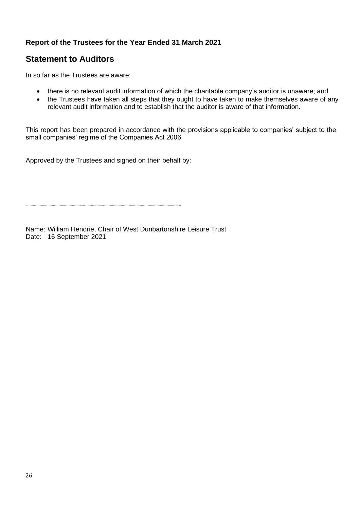# **Statement to Auditors**

In so far as the Trustees are aware:

- there is no relevant audit information of which the charitable company's auditor is unaware; and
- the Trustees have taken all steps that they ought to have taken to make themselves aware of any relevant audit information and to establish that the auditor is aware of that information.

This report has been prepared in accordance with the provisions applicable to companies' subject to the small companies' regime of the Companies Act 2006.

Approved by the Trustees and signed on their behalf by:

Name: William Hendrie, Chair of West Dunbartonshire Leisure Trust Date: 16 September 2021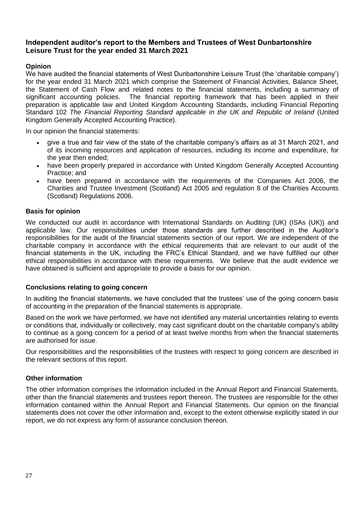# **Opinion**

We have audited the financial statements of West Dunbartonshire Leisure Trust (the 'charitable company') for the year ended 31 March 2021 which comprise the Statement of Financial Activities, Balance Sheet, the Statement of Cash Flow and related notes to the financial statements, including a summary of significant accounting policies. The financial reporting framework that has been applied in their preparation is applicable law and United Kingdom Accounting Standards, including Financial Reporting Standard 102 *The Financial Reporting Standard applicable in the UK and Republic of Ireland* (United Kingdom Generally Accepted Accounting Practice).

In our opinion the financial statements:

- give a true and fair view of the state of the charitable company's affairs as at 31 March 2021, and of its incoming resources and application of resources, including its income and expenditure, for the year then ended;
- have been properly prepared in accordance with United Kingdom Generally Accepted Accounting Practice; and
- have been prepared in accordance with the requirements of the Companies Act 2006, the Charities and Trustee Investment (Scotland) Act 2005 and regulation 8 of the Charities Accounts (Scotland) Regulations 2006.

### **Basis for opinion**

We conducted our audit in accordance with International Standards on Auditing (UK) (ISAs (UK)) and applicable law. Our responsibilities under those standards are further described in the Auditor's responsibilities for the audit of the financial statements section of our report. We are independent of the charitable company in accordance with the ethical requirements that are relevant to our audit of the financial statements in the UK, including the FRC's Ethical Standard, and we have fulfilled our other ethical responsibilities in accordance with these requirements. We believe that the audit evidence we have obtained is sufficient and appropriate to provide a basis for our opinion.

### **Conclusions relating to going concern**

In auditing the financial statements, we have concluded that the trustees' use of the going concern basis of accounting in the preparation of the financial statements is appropriate.

Based on the work we have performed, we have not identified any material uncertainties relating to events or conditions that, individually or collectively, may cast significant doubt on the charitable company's ability to continue as a going concern for a period of at least twelve months from when the financial statements are authorised for issue.

Our responsibilities and the responsibilities of the trustees with respect to going concern are described in the relevant sections of this report.

### **Other information**

The other information comprises the information included in the Annual Report and Financial Statements, other than the financial statements and trustees report thereon. The trustees are responsible for the other information contained within the Annual Report and Financial Statements. Our opinion on the financial statements does not cover the other information and, except to the extent otherwise explicitly stated in our report, we do not express any form of assurance conclusion thereon.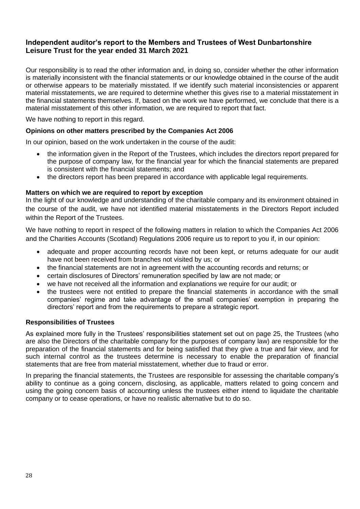Our responsibility is to read the other information and, in doing so, consider whether the other information is materially inconsistent with the financial statements or our knowledge obtained in the course of the audit or otherwise appears to be materially misstated. If we identify such material inconsistencies or apparent material misstatements, we are required to determine whether this gives rise to a material misstatement in the financial statements themselves. If, based on the work we have performed, we conclude that there is a material misstatement of this other information, we are required to report that fact.

We have nothing to report in this regard.

### **Opinions on other matters prescribed by the Companies Act 2006**

In our opinion, based on the work undertaken in the course of the audit:

- the information given in the Report of the Trustees, which includes the directors report prepared for the purpose of company law, for the financial year for which the financial statements are prepared is consistent with the financial statements; and
- the directors report has been prepared in accordance with applicable legal requirements.

### **Matters on which we are required to report by exception**

In the light of our knowledge and understanding of the charitable company and its environment obtained in the course of the audit, we have not identified material misstatements in the Directors Report included within the Report of the Trustees.

We have nothing to report in respect of the following matters in relation to which the Companies Act 2006 and the Charities Accounts (Scotland) Regulations 2006 require us to report to you if, in our opinion:

- adequate and proper accounting records have not been kept, or returns adequate for our audit have not been received from branches not visited by us; or
- the financial statements are not in agreement with the accounting records and returns; or
- certain disclosures of Directors' remuneration specified by law are not made; or
- we have not received all the information and explanations we require for our audit; or
- the trustees were not entitled to prepare the financial statements in accordance with the small companies' regime and take advantage of the small companies' exemption in preparing the directors' report and from the requirements to prepare a strategic report.

### **Responsibilities of Trustees**

As explained more fully in the Trustees' responsibilities statement set out on page 25, the Trustees (who are also the Directors of the charitable company for the purposes of company law) are responsible for the preparation of the financial statements and for being satisfied that they give a true and fair view, and for such internal control as the trustees determine is necessary to enable the preparation of financial statements that are free from material misstatement, whether due to fraud or error.

In preparing the financial statements, the Trustees are responsible for assessing the charitable company's ability to continue as a going concern, disclosing, as applicable, matters related to going concern and using the going concern basis of accounting unless the trustees either intend to liquidate the charitable company or to cease operations, or have no realistic alternative but to do so.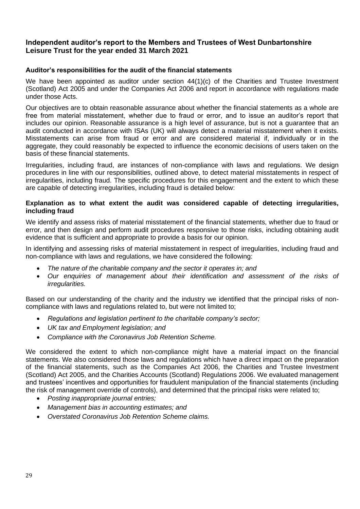### **Auditor's responsibilities for the audit of the financial statements**

We have been appointed as auditor under section  $44(1)(c)$  of the Charities and Trustee Investment (Scotland) Act 2005 and under the Companies Act 2006 and report in accordance with regulations made under those Acts.

Our objectives are to obtain reasonable assurance about whether the financial statements as a whole are free from material misstatement, whether due to fraud or error, and to issue an auditor's report that includes our opinion. Reasonable assurance is a high level of assurance, but is not a guarantee that an audit conducted in accordance with ISAs (UK) will always detect a material misstatement when it exists. Misstatements can arise from fraud or error and are considered material if, individually or in the aggregate, they could reasonably be expected to influence the economic decisions of users taken on the basis of these financial statements.

Irregularities, including fraud, are instances of non-compliance with laws and regulations. We design procedures in line with our responsibilities, outlined above, to detect material misstatements in respect of irregularities, including fraud. The specific procedures for this engagement and the extent to which these are capable of detecting irregularities, including fraud is detailed below:

### **Explanation as to what extent the audit was considered capable of detecting irregularities, including fraud**

We identify and assess risks of material misstatement of the financial statements, whether due to fraud or error, and then design and perform audit procedures responsive to those risks, including obtaining audit evidence that is sufficient and appropriate to provide a basis for our opinion.

In identifying and assessing risks of material misstatement in respect of irregularities, including fraud and non-compliance with laws and regulations, we have considered the following:

- *The nature of the charitable company and the sector it operates in; and*
- *Our enquiries of management about their identification and assessment of the risks of irregularities.*

Based on our understanding of the charity and the industry we identified that the principal risks of noncompliance with laws and regulations related to, but were not limited to;

- *Regulations and legislation pertinent to the charitable company's sector;*
- *UK tax and Employment legislation; and*
- *Compliance with the Coronavirus Job Retention Scheme.*

We considered the extent to which non-compliance might have a material impact on the financial statements. We also considered those laws and regulations which have a direct impact on the preparation of the financial statements, such as the Companies Act 2006, the Charities and Trustee Investment (Scotland) Act 2005, and the Charities Accounts (Scotland) Regulations 2006. We evaluated management and trustees' incentives and opportunities for fraudulent manipulation of the financial statements (including the risk of management override of controls), and determined that the principal risks were related to;

- *Posting inappropriate journal entries;*
- *Management bias in accounting estimates; and*
- *Overstated Coronavirus Job Retention Scheme claims.*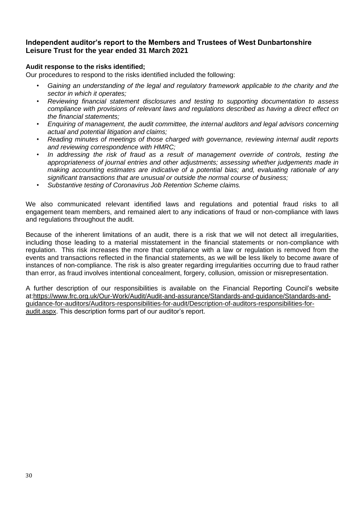### **Audit response to the risks identified;**

Our procedures to respond to the risks identified included the following:

- *• Gaining an understanding of the legal and regulatory framework applicable to the charity and the sector in which it operates;*
- *• Reviewing financial statement disclosures and testing to supporting documentation to assess compliance with provisions of relevant laws and regulations described as having a direct effect on the financial statements;*
- *• Enquiring of management, the audit committee, the internal auditors and legal advisors concerning actual and potential litigation and claims;*
- *• Reading minutes of meetings of those charged with governance, reviewing internal audit reports and reviewing correspondence with HMRC;*
- *• In addressing the risk of fraud as a result of management override of controls, testing the appropriateness of journal entries and other adjustments; assessing whether judgements made in making accounting estimates are indicative of a potential bias; and, evaluating rationale of any significant transactions that are unusual or outside the normal course of business;*
- *• Substantive testing of Coronavirus Job Retention Scheme claims.*

We also communicated relevant identified laws and regulations and potential fraud risks to all engagement team members, and remained alert to any indications of fraud or non-compliance with laws and regulations throughout the audit.

Because of the inherent limitations of an audit, there is a risk that we will not detect all irregularities, including those leading to a material misstatement in the financial statements or non-compliance with regulation. This risk increases the more that compliance with a law or regulation is removed from the events and transactions reflected in the financial statements, as we will be less likely to become aware of instances of non-compliance. The risk is also greater regarding irregularities occurring due to fraud rather than error, as fraud involves intentional concealment, forgery, collusion, omission or misrepresentation.

A further description of our responsibilities is available on the Financial Reporting Council's website at[:https://www.frc.org.uk/Our-Work/Audit/Audit-and-assurance/Standards-and-guidance/Standards-and](https://www.frc.org.uk/Our-Work/Audit/Audit-and-assurance/Standards-and-guidance/Standards-and-guidance-for-auditors/Auditors-responsibilities-for-audit/Description-of-auditors-responsibilities-for-audit.aspx)[guidance-for-auditors/Auditors-responsibilities-for-audit/Description-of-auditors-responsibilities-for](https://www.frc.org.uk/Our-Work/Audit/Audit-and-assurance/Standards-and-guidance/Standards-and-guidance-for-auditors/Auditors-responsibilities-for-audit/Description-of-auditors-responsibilities-for-audit.aspx)[audit.aspx.](https://www.frc.org.uk/Our-Work/Audit/Audit-and-assurance/Standards-and-guidance/Standards-and-guidance-for-auditors/Auditors-responsibilities-for-audit/Description-of-auditors-responsibilities-for-audit.aspx) This description forms part of our auditor's report.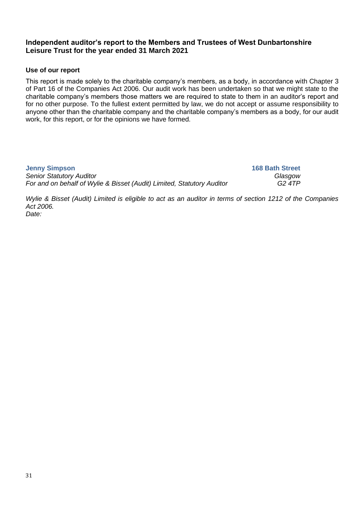# **Use of our report**

This report is made solely to the charitable company's members, as a body, in accordance with Chapter 3 of Part 16 of the Companies Act 2006. Our audit work has been undertaken so that we might state to the charitable company's members those matters we are required to state to them in an auditor's report and for no other purpose. To the fullest extent permitted by law, we do not accept or assume responsibility to anyone other than the charitable company and the charitable company's members as a body, for our audit work, for this report, or for the opinions we have formed.

| <b>Jenny Simpson</b>                                                   | <b>168 Bath Street</b> |
|------------------------------------------------------------------------|------------------------|
| <b>Senior Statutory Auditor</b>                                        | Glasgow                |
| For and on behalf of Wylie & Bisset (Audit) Limited, Statutory Auditor | G2 4TP                 |

*Wylie & Bisset (Audit) Limited is eligible to act as an auditor in terms of section 1212 of the Companies Act 2006. Date:*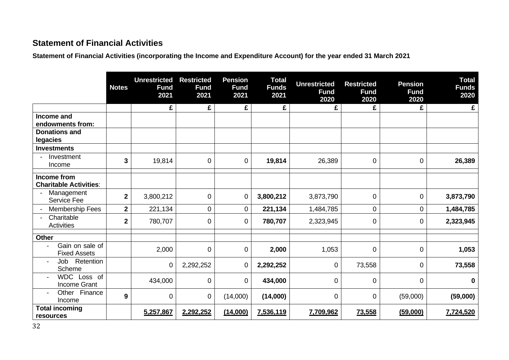# **Statement of Financial Activities**

**Statement of Financial Activities (incorporating the Income and Expenditure Account) for the year ended 31 March 2021**

|                                                                | <b>Notes</b>   | <b>Unrestricted</b><br><b>Fund</b><br>2021 | <b>Restricted</b><br><b>Fund</b><br>2021 | <b>Pension</b><br><b>Fund</b><br>2021 | <b>Total</b><br><b>Funds</b><br>2021 | <b>Unrestricted</b><br><b>Fund</b><br>2020 | <b>Restricted</b><br><b>Fund</b><br>2020 | <b>Pension</b><br><b>Fund</b><br>2020 | <b>Total</b><br><b>Funds</b><br>2020 |
|----------------------------------------------------------------|----------------|--------------------------------------------|------------------------------------------|---------------------------------------|--------------------------------------|--------------------------------------------|------------------------------------------|---------------------------------------|--------------------------------------|
|                                                                |                | £                                          | £                                        | £                                     | £                                    | £                                          | £                                        | £                                     | £                                    |
| Income and<br>endowments from:                                 |                |                                            |                                          |                                       |                                      |                                            |                                          |                                       |                                      |
| <b>Donations and</b><br>legacies                               |                |                                            |                                          |                                       |                                      |                                            |                                          |                                       |                                      |
| <b>Investments</b>                                             |                |                                            |                                          |                                       |                                      |                                            |                                          |                                       |                                      |
| Investment<br>Income                                           | 3              | 19,814                                     | $\overline{0}$                           | $\overline{0}$                        | 19,814                               | 26,389                                     | 0                                        | $\mathbf 0$                           | 26,389                               |
| Income from<br><b>Charitable Activities:</b>                   |                |                                            |                                          |                                       |                                      |                                            |                                          |                                       |                                      |
| Management<br><b>Service Fee</b>                               | $\mathbf 2$    | 3,800,212                                  | $\mathbf 0$                              | $\mathbf 0$                           | 3,800,212                            | 3,873,790                                  | $\mathbf 0$                              | $\mathbf 0$                           | 3,873,790                            |
| <b>Membership Fees</b>                                         | $\mathbf 2$    | 221,134                                    | 0                                        | 0                                     | 221,134                              | 1,484,785                                  | 0                                        | $\mathbf 0$                           | 1,484,785                            |
| Charitable<br><b>Activities</b>                                | $\overline{2}$ | 780,707                                    | 0                                        | $\overline{0}$                        | 780,707                              | 2,323,945                                  | 0                                        | 0                                     | 2,323,945                            |
| Other                                                          |                |                                            |                                          |                                       |                                      |                                            |                                          |                                       |                                      |
| Gain on sale of<br>٠<br><b>Fixed Assets</b>                    |                | 2,000                                      | 0                                        | $\mathbf 0$                           | 2,000                                | 1,053                                      | $\overline{0}$                           | $\mathbf 0$                           | 1,053                                |
| Retention<br>Job<br>$\blacksquare$<br>Scheme                   |                | 0                                          | 2,292,252                                | $\overline{0}$                        | 2,292,252                            | 0                                          | 73,558                                   | $\mathbf 0$                           | 73,558                               |
| WDC Loss of<br>$\overline{\phantom{a}}$<br><b>Income Grant</b> |                | 434,000                                    | $\mathbf 0$                              | $\mathbf 0$                           | 434,000                              | 0                                          | 0                                        | $\overline{0}$                        | $\mathbf 0$                          |
| Finance<br>Other<br>$\overline{\phantom{a}}$<br>Income         | 9              | 0                                          | 0                                        | (14,000)                              | (14,000)                             | 0                                          | $\mathbf 0$                              | (59,000)                              | (59,000)                             |
| <b>Total incoming</b><br>resources                             |                | 5,257,867                                  | 2,292,252                                | (14,000)                              | 7,536,119                            | 7,709,962                                  | 73,558                                   | (59,000)                              | 7,724,520                            |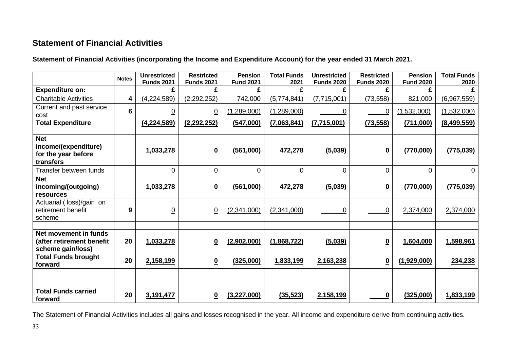# **Statement of Financial Activities**

**Statement of Financial Activities (incorporating the Income and Expenditure Account) for the year ended 31 March 2021.**

|                                                                         | <b>Notes</b>   | <b>Unrestricted</b><br><b>Funds 2021</b> | <b>Restricted</b><br><b>Funds 2021</b> | <b>Pension</b><br><b>Fund 2021</b> | <b>Total Funds</b><br>2021 | <b>Unrestricted</b><br><b>Funds 2020</b> | <b>Restricted</b><br><b>Funds 2020</b> | <b>Pension</b><br><b>Fund 2020</b> | <b>Total Funds</b><br>2020 |
|-------------------------------------------------------------------------|----------------|------------------------------------------|----------------------------------------|------------------------------------|----------------------------|------------------------------------------|----------------------------------------|------------------------------------|----------------------------|
| <b>Expenditure on:</b>                                                  |                | £                                        | £                                      | £                                  | £                          | £                                        | £                                      | £                                  |                            |
| <b>Charitable Activities</b>                                            | 4              | (4,224,589)                              | (2, 292, 252)                          | 742,000                            | (5,774,841)                | (7,715,001)                              | (73, 558)                              | 821,000                            | (6,967,559)                |
| Current and past service<br>cost                                        | $6\phantom{1}$ | $\overline{0}$                           | $\overline{0}$                         | (1,289,000)                        | (1,289,000)                | 0                                        | 0                                      | (1,532,000)                        | (1,532,000)                |
| <b>Total Expenditure</b>                                                |                | (4, 224, 589)                            | (2, 292, 252)                          | (547,000)                          | (7,063,841)                | (7,715,001)                              | (73, 558)                              | (711,000)                          | (8,499,559)                |
|                                                                         |                |                                          |                                        |                                    |                            |                                          |                                        |                                    |                            |
| <b>Net</b><br>income/(expenditure)<br>for the year before<br>transfers  |                | 1,033,278                                | $\bf{0}$                               | (561,000)                          | 472,278                    | (5,039)                                  | $\mathbf 0$                            | (770,000)                          | (775, 039)                 |
| Transfer between funds                                                  |                | 0                                        | $\mathbf 0$                            | 0                                  | 0                          | $\mathbf 0$                              | 0                                      | 0                                  | 0                          |
| <b>Net</b><br>incoming/(outgoing)<br>resources                          |                | 1,033,278                                | $\mathbf 0$                            | (561,000)                          | 472,278                    | (5,039)                                  | $\bf{0}$                               | (770,000)                          | (775, 039)                 |
| Actuarial (loss)/gain on<br>retirement benefit<br>scheme                | 9              | <u>0</u>                                 | $\overline{0}$                         | (2,341,000)                        | (2,341,000)                | 0                                        | 0                                      | 2,374,000                          | 2,374,000                  |
|                                                                         |                |                                          |                                        |                                    |                            |                                          |                                        |                                    |                            |
| Net movement in funds<br>(after retirement benefit<br>scheme gain/loss) | 20             | 1,033,278                                | $\overline{\mathbf{0}}$                | (2,902,000)                        | (1,868,722)                | (5,039)                                  | $\underline{\mathbf{0}}$               | 1,604,000                          | 1,598,961                  |
| <b>Total Funds brought</b><br>forward                                   | 20             | 2,158,199                                | $\overline{\mathbf{0}}$                | (325,000)                          | 1,833,199                  | 2,163,238                                | $\underline{\mathbf{0}}$               | (1,929,000)                        | 234,238                    |
|                                                                         |                |                                          |                                        |                                    |                            |                                          |                                        |                                    |                            |
|                                                                         |                |                                          |                                        |                                    |                            |                                          |                                        |                                    |                            |
| <b>Total Funds carried</b><br>forward                                   | 20             | 3,191,477                                | $\underline{\mathbf{0}}$               | (3, 227, 000)                      | (35, 523)                  | 2,158,199                                | 0                                      | (325,000)                          | 1,833,199                  |

The Statement of Financial Activities includes all gains and losses recognised in the year. All income and expenditure derive from continuing activities.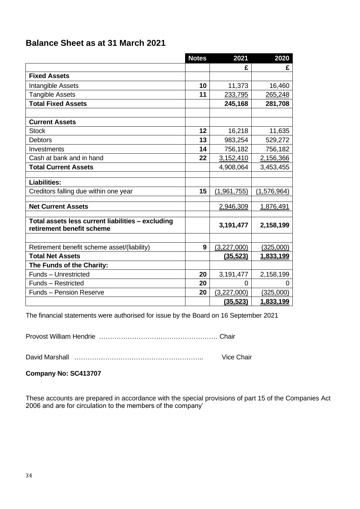# **Balance Sheet as at 31 March 2021**

|                                                                                | <b>Notes</b> | 2021        | 2020          |
|--------------------------------------------------------------------------------|--------------|-------------|---------------|
|                                                                                |              | £           | £             |
| <b>Fixed Assets</b>                                                            |              |             |               |
| Intangible Assets                                                              | 10           | 11,373      | 16,460        |
| <b>Tangible Assets</b>                                                         | 11           | 233,795     | 265,248       |
| <b>Total Fixed Assets</b>                                                      |              | 245,168     | 281,708       |
|                                                                                |              |             |               |
| <b>Current Assets</b>                                                          |              |             |               |
| <b>Stock</b>                                                                   | 12           | 16,218      | 11,635        |
| <b>Debtors</b>                                                                 | 13           | 983,254     | 529,272       |
| Investments                                                                    | 14           | 756,182     | 756,182       |
| Cash at bank and in hand                                                       | 22           | 3,152,410   | 2,156,366     |
| <b>Total Current Assets</b>                                                    |              | 4,908,064   | 3,453,455     |
|                                                                                |              |             |               |
| <b>Liabilities:</b>                                                            |              |             |               |
| Creditors falling due within one year                                          | 15           | (1,961,755) | (1, 576, 964) |
| <b>Net Current Assets</b>                                                      |              | 2,946,309   | 1,876,491     |
|                                                                                |              |             |               |
| Total assets less current liabilities - excluding<br>retirement benefit scheme |              | 3,191,477   | 2,158,199     |
|                                                                                |              |             |               |
| Retirement benefit scheme asset/(liability)                                    | 9            | (3,227,000) | (325,000)     |
| <b>Total Net Assets</b>                                                        |              | (35, 523)   | 1,833,199     |
| The Funds of the Charity:                                                      |              |             |               |
| <b>Funds - Unrestricted</b>                                                    | 20           | 3,191,477   | 2,158,199     |
| Funds - Restricted                                                             | 20           | $\Omega$    | $\Omega$      |
| <b>Funds - Pension Reserve</b>                                                 | 20           | (3,227,000) | (325,000)     |
|                                                                                |              | (35, 523)   | 1.833.199     |

The financial statements were authorised for issue by the Board on 16 September 2021

Provost William Hendrie ……………………………………………… Chair

David Marshall ………………………………………………….. Vice Chair

**Company No: SC413707**

These accounts are prepared in accordance with the special provisions of part 15 of the Companies Act 2006 and are for circulation to the members of the company'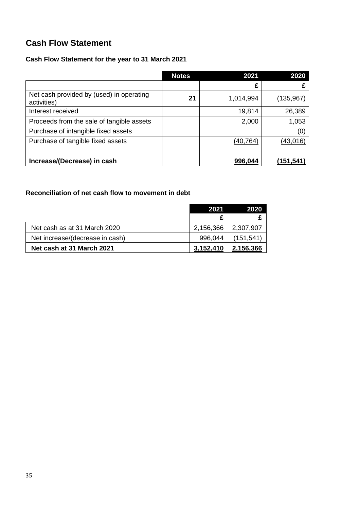# **Cash Flow Statement**

# **Cash Flow Statement for the year to 31 March 2021**

|                                                         | <b>Notes</b> | 2021      | 2020       |
|---------------------------------------------------------|--------------|-----------|------------|
|                                                         |              | £         |            |
| Net cash provided by (used) in operating<br>activities) | 21           | 1,014,994 | (135, 967) |
| Interest received                                       |              | 19,814    | 26,389     |
| Proceeds from the sale of tangible assets               |              | 2,000     | 1,053      |
| Purchase of intangible fixed assets                     |              |           | (0)        |
| Purchase of tangible fixed assets                       |              | (40, 764) | (43,016)   |
|                                                         |              |           |            |
| Increase/(Decrease) in cash                             |              | 996,044   | (151,541   |

# **Reconciliation of net cash flow to movement in debt**

|                                 | 2021      | 2020       |
|---------------------------------|-----------|------------|
|                                 |           |            |
| Net cash as at 31 March 2020    | 2,156,366 | 2,307,907  |
| Net increase/(decrease in cash) | 996.044   | (151, 541) |
| Net cash at 31 March 2021       | 3,152,410 | 2,156,366  |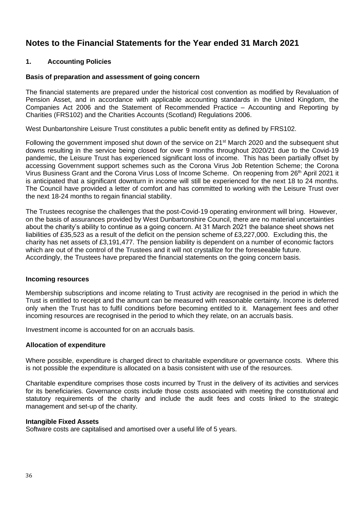# **1. Accounting Policies**

# **Basis of preparation and assessment of going concern**

The financial statements are prepared under the historical cost convention as modified by Revaluation of Pension Asset, and in accordance with applicable accounting standards in the United Kingdom, the Companies Act 2006 and the Statement of Recommended Practice – Accounting and Reporting by Charities (FRS102) and the Charities Accounts (Scotland) Regulations 2006.

West Dunbartonshire Leisure Trust constitutes a public benefit entity as defined by FRS102.

Following the government imposed shut down of the service on 21<sup>st</sup> March 2020 and the subsequent shut downs resulting in the service being closed for over 9 months throughout 2020/21 due to the Covid-19 pandemic, the Leisure Trust has experienced significant loss of income. This has been partially offset by accessing Government support schemes such as the Corona Virus Job Retention Scheme; the Corona Virus Business Grant and the Corona Virus Loss of Income Scheme. On reopening from 26th April 2021 it is anticipated that a significant downturn in income will still be experienced for the next 18 to 24 months. The Council have provided a letter of comfort and has committed to working with the Leisure Trust over the next 18-24 months to regain financial stability.

The Trustees recognise the challenges that the post-Covid-19 operating environment will bring. However, on the basis of assurances provided by West Dunbartonshire Council, there are no material uncertainties about the charity's ability to continue as a going concern. At 31 March 2021 the balance sheet shows net liabilities of £35,523 as a result of the deficit on the pension scheme of £3,227,000. Excluding this, the charity has net assets of £3,191,477. The pension liability is dependent on a number of economic factors which are out of the control of the Trustees and it will not crystallize for the foreseeable future. Accordingly, the Trustees have prepared the financial statements on the going concern basis.

### **Incoming resources**

Membership subscriptions and income relating to Trust activity are recognised in the period in which the Trust is entitled to receipt and the amount can be measured with reasonable certainty. Income is deferred only when the Trust has to fulfil conditions before becoming entitled to it. Management fees and other incoming resources are recognised in the period to which they relate, on an accruals basis.

Investment income is accounted for on an accruals basis.

### **Allocation of expenditure**

Where possible, expenditure is charged direct to charitable expenditure or governance costs. Where this is not possible the expenditure is allocated on a basis consistent with use of the resources.

Charitable expenditure comprises those costs incurred by Trust in the delivery of its activities and services for its beneficiaries. Governance costs include those costs associated with meeting the constitutional and statutory requirements of the charity and include the audit fees and costs linked to the strategic management and set-up of the charity.

### **Intangible Fixed Assets**

Software costs are capitalised and amortised over a useful life of 5 years.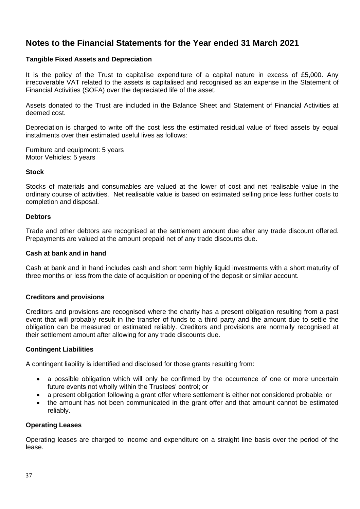### **Tangible Fixed Assets and Depreciation**

It is the policy of the Trust to capitalise expenditure of a capital nature in excess of £5,000. Any irrecoverable VAT related to the assets is capitalised and recognised as an expense in the Statement of Financial Activities (SOFA) over the depreciated life of the asset.

Assets donated to the Trust are included in the Balance Sheet and Statement of Financial Activities at deemed cost.

Depreciation is charged to write off the cost less the estimated residual value of fixed assets by equal instalments over their estimated useful lives as follows:

Furniture and equipment: 5 years Motor Vehicles: 5 years

### **Stock**

Stocks of materials and consumables are valued at the lower of cost and net realisable value in the ordinary course of activities. Net realisable value is based on estimated selling price less further costs to completion and disposal.

### **Debtors**

Trade and other debtors are recognised at the settlement amount due after any trade discount offered. Prepayments are valued at the amount prepaid net of any trade discounts due.

### **Cash at bank and in hand**

Cash at bank and in hand includes cash and short term highly liquid investments with a short maturity of three months or less from the date of acquisition or opening of the deposit or similar account.

### **Creditors and provisions**

Creditors and provisions are recognised where the charity has a present obligation resulting from a past event that will probably result in the transfer of funds to a third party and the amount due to settle the obligation can be measured or estimated reliably. Creditors and provisions are normally recognised at their settlement amount after allowing for any trade discounts due.

### **Contingent Liabilities**

A contingent liability is identified and disclosed for those grants resulting from:

- a possible obligation which will only be confirmed by the occurrence of one or more uncertain future events not wholly within the Trustees' control; or
- a present obligation following a grant offer where settlement is either not considered probable; or
- the amount has not been communicated in the grant offer and that amount cannot be estimated reliably.

### **Operating Leases**

Operating leases are charged to income and expenditure on a straight line basis over the period of the lease.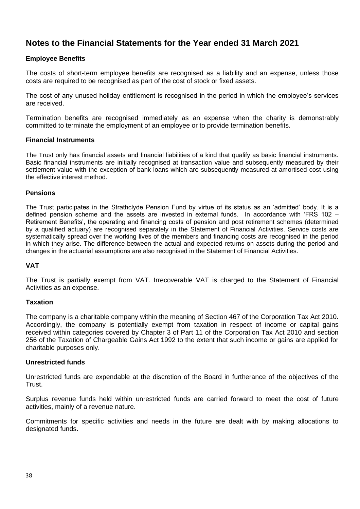# **Employee Benefits**

The costs of short-term employee benefits are recognised as a liability and an expense, unless those costs are required to be recognised as part of the cost of stock or fixed assets.

The cost of any unused holiday entitlement is recognised in the period in which the employee's services are received.

Termination benefits are recognised immediately as an expense when the charity is demonstrably committed to terminate the employment of an employee or to provide termination benefits.

### **Financial Instruments**

The Trust only has financial assets and financial liabilities of a kind that qualify as basic financial instruments. Basic financial instruments are initially recognised at transaction value and subsequently measured by their settlement value with the exception of bank loans which are subsequently measured at amortised cost using the effective interest method.

### **Pensions**

The Trust participates in the Strathclyde Pension Fund by virtue of its status as an 'admitted' body. It is a defined pension scheme and the assets are invested in external funds. In accordance with 'FRS 102 – Retirement Benefits', the operating and financing costs of pension and post retirement schemes (determined by a qualified actuary) are recognised separately in the Statement of Financial Activities. Service costs are systematically spread over the working lives of the members and financing costs are recognised in the period in which they arise. The difference between the actual and expected returns on assets during the period and changes in the actuarial assumptions are also recognised in the Statement of Financial Activities.

### **VAT**

The Trust is partially exempt from VAT. Irrecoverable VAT is charged to the Statement of Financial Activities as an expense.

### **Taxation**

The company is a charitable company within the meaning of Section 467 of the Corporation Tax Act 2010. Accordingly, the company is potentially exempt from taxation in respect of income or capital gains received within categories covered by Chapter 3 of Part 11 of the Corporation Tax Act 2010 and section 256 of the Taxation of Chargeable Gains Act 1992 to the extent that such income or gains are applied for charitable purposes only.

### **Unrestricted funds**

Unrestricted funds are expendable at the discretion of the Board in furtherance of the objectives of the Trust.

Surplus revenue funds held within unrestricted funds are carried forward to meet the cost of future activities, mainly of a revenue nature.

Commitments for specific activities and needs in the future are dealt with by making allocations to designated funds.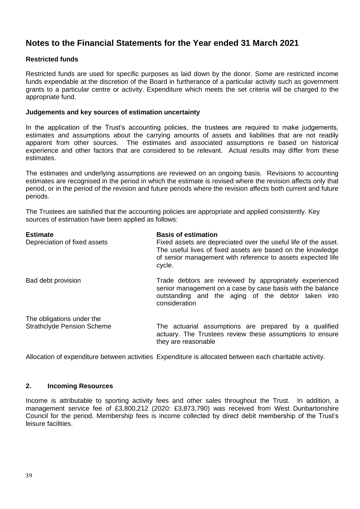# **Restricted funds**

Restricted funds are used for specific purposes as laid down by the donor. Some are restricted income funds expendable at the discretion of the Board in furtherance of a particular activity such as government grants to a particular centre or activity. Expenditure which meets the set criteria will be charged to the appropriate fund.

### **Judgements and key sources of estimation uncertainty**

In the application of the Trust's accounting policies, the trustees are required to make judgements, estimates and assumptions about the carrying amounts of assets and liabilities that are not readily apparent from other sources. The estimates and associated assumptions re based on historical experience and other factors that are considered to be relevant. Actual results may differ from these estimates.

The estimates and underlying assumptions are reviewed on an ongoing basis. Revisions to accounting estimates are recognised in the period in which the estimate is revised where the revision affects only that period, or in the period of the revision and future periods where the revision affects both current and future periods.

The Trustees are satisfied that the accounting policies are appropriate and applied consistently. Key sources of estimation have been applied as follows:

| <b>Estimate</b><br>Depreciation of fixed assets                | <b>Basis of estimation</b><br>Fixed assets are depreciated over the useful life of the asset.<br>The useful lives of fixed assets are based on the knowledge<br>of senior management with reference to assets expected life<br>cycle. |
|----------------------------------------------------------------|---------------------------------------------------------------------------------------------------------------------------------------------------------------------------------------------------------------------------------------|
| Bad debt provision                                             | Trade debtors are reviewed by appropriately experienced<br>senior management on a case by case basis with the balance<br>outstanding and the aging of the debtor taken into<br>consideration                                          |
| The obligations under the<br><b>Strathclyde Pension Scheme</b> | The actuarial assumptions are prepared by a qualified<br>actuary. The Trustees review these assumptions to ensure<br>they are reasonable                                                                                              |

Allocation of expenditure between activities Expenditure is allocated between each charitable activity.

### **2. Incoming Resources**

Income is attributable to sporting activity fees and other sales throughout the Trust. In addition, a management service fee of £3,800,212 (2020: £3,873,790) was received from West Dunbartonshire Council for the period. Membership fees is income collected by direct debit membership of the Trust's leisure facilities.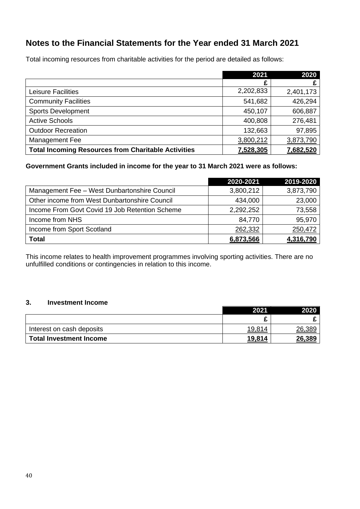Total incoming resources from charitable activities for the period are detailed as follows:

|                                                            | 2021      | 2020      |
|------------------------------------------------------------|-----------|-----------|
|                                                            |           |           |
| <b>Leisure Facilities</b>                                  | 2,202,833 | 2,401,173 |
| <b>Community Facilities</b>                                | 541,682   | 426,294   |
| <b>Sports Development</b>                                  | 450,107   | 606,887   |
| <b>Active Schools</b>                                      | 400,808   | 276,481   |
| <b>Outdoor Recreation</b>                                  | 132,663   | 97,895    |
| Management Fee                                             | 3,800,212 | 3,873,790 |
| <b>Total Incoming Resources from Charitable Activities</b> | 7,528,305 | 7,682,520 |

# **Government Grants included in income for the year to 31 March 2021 were as follows:**

|                                                | 2020-2021 | 2019-2020 |
|------------------------------------------------|-----------|-----------|
| Management Fee - West Dunbartonshire Council   | 3,800,212 | 3,873,790 |
| Other income from West Dunbartonshire Council  | 434,000   | 23,000    |
| Income From Govt Covid 19 Job Retention Scheme | 2,292,252 | 73,558    |
| Income from NHS                                | 84,770    | 95,970    |
| Income from Sport Scotland                     | 262,332   | 250,472   |
| <b>Total</b>                                   | 6,873,566 | 4,316,790 |

This income relates to health improvement programmes involving sporting activities. There are no unfulfilled conditions or contingencies in relation to this income.

# **3. Investment Income**

|                           | 2021           | 2020   |
|---------------------------|----------------|--------|
|                           |                |        |
| Interest on cash deposits | 19,814         | 26,389 |
| Total Investment Income   | <u> 19,814</u> | 26,389 |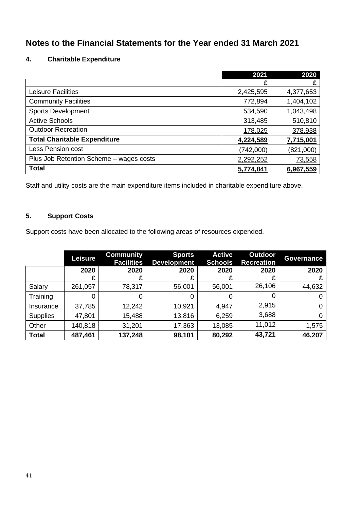# **4. Charitable Expenditure**

|                                         | 2021      | 2020      |
|-----------------------------------------|-----------|-----------|
|                                         | £         | £         |
| <b>Leisure Facilities</b>               | 2,425,595 | 4,377,653 |
| <b>Community Facilities</b>             | 772,894   | 1,404,102 |
| <b>Sports Development</b>               | 534,590   | 1,043,498 |
| <b>Active Schools</b>                   | 313,485   | 510,810   |
| <b>Outdoor Recreation</b>               | 178,025   | 378,938   |
| <b>Total Charitable Expenditure</b>     | 4,224,589 | 7,715,001 |
| Less Pension cost                       | (742,000) | (821,000) |
| Plus Job Retention Scheme - wages costs | 2,292,252 | 73,558    |
| <b>Total</b>                            | 5,774,841 | 6,967,559 |

Staff and utility costs are the main expenditure items included in charitable expenditure above.

# **5. Support Costs**

Support costs have been allocated to the following areas of resources expended.

|                 | <b>Leisure</b> | <b>Community</b><br><b>Facilities</b> | <b>Sports</b><br><b>Development</b> | <b>Active</b><br><b>Schools</b> | <b>Outdoor</b><br><b>Recreation</b> | <b>Governance</b> |
|-----------------|----------------|---------------------------------------|-------------------------------------|---------------------------------|-------------------------------------|-------------------|
|                 | 2020           | 2020                                  | 2020                                | 2020                            | 2020                                | 2020              |
|                 | £              | £                                     |                                     | £                               |                                     |                   |
| Salary          | 261,057        | 78,317                                | 56,001                              | 56,001                          | 26,106                              | 44,632            |
| Training        | 0              | 0                                     | 0                                   | 0                               | 0                                   |                   |
| Insurance       | 37,785         | 12,242                                | 10,921                              | 4,947                           | 2,915                               |                   |
| <b>Supplies</b> | 47,801         | 15,488                                | 13,816                              | 6,259                           | 3,688                               |                   |
| Other           | 140,818        | 31,201                                | 17,363                              | 13,085                          | 11,012                              | 1,575             |
| <b>Total</b>    | 487,461        | 137,248                               | 98,101                              | 80,292                          | 43,721                              | 46,207            |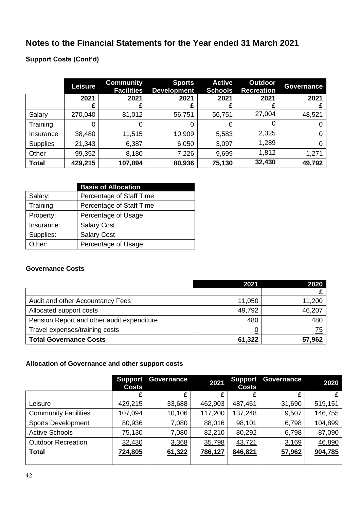# **Support Costs (Cont'd)**

|                 | Leisure   | <b>Community</b><br><b>Facilities</b> | <b>Sports</b><br><b>Development</b> | <b>Active</b><br><b>Schools</b> | <b>Outdoor</b><br><b>Recreation</b> | <b>Governance</b> |
|-----------------|-----------|---------------------------------------|-------------------------------------|---------------------------------|-------------------------------------|-------------------|
|                 | 2021<br>£ | 2021<br>£                             | 2021                                | 2021                            | 2021                                | 2021              |
| Salary          | 270,040   | 81,012                                | 56,751                              | 56,751                          | 27,004                              | 48,521            |
| Training        | 0         | 0                                     |                                     | 0                               |                                     |                   |
| Insurance       | 38,480    | 11,515                                | 10,909                              | 5,583                           | 2,325                               |                   |
| <b>Supplies</b> | 21,343    | 6,387                                 | 6,050                               | 3,097                           | 1,289                               |                   |
| Other           | 99,352    | 8,180                                 | 7,226                               | 9,699                           | 1,812                               | 1,271             |
| <b>Total</b>    | 429,215   | 107,094                               | 80,936                              | 75,130                          | 32,430                              | 49,792            |

|            | <b>Basis of Allocation</b> |
|------------|----------------------------|
| Salary:    | Percentage of Staff Time   |
| Training:  | Percentage of Staff Time   |
| Property:  | Percentage of Usage        |
| Insurance: | <b>Salary Cost</b>         |
| Supplies:  | <b>Salary Cost</b>         |
| Other:     | Percentage of Usage        |

# **Governance Costs**

|                                            | 2021   | 2020   |
|--------------------------------------------|--------|--------|
|                                            |        |        |
| Audit and other Accountancy Fees           | 11,050 | 11,200 |
| Allocated support costs                    | 49,792 | 46,207 |
| Pension Report and other audit expenditure | 480    | 480    |
| Travel expenses/training costs             |        | 75     |
| <b>Total Governance Costs</b>              | 61,322 | 57,962 |

# **Allocation of Governance and other support costs**

|                             | <b>Support</b><br><b>Costs</b> | <b>Governance</b> | 2021    | <b>Support</b><br><b>Costs</b> | Governance | 2020    |
|-----------------------------|--------------------------------|-------------------|---------|--------------------------------|------------|---------|
|                             | £                              | £                 | £       | £                              |            | £       |
| Leisure                     | 429,215                        | 33,688            | 462,903 | 487,461                        | 31,690     | 519,151 |
| <b>Community Facilities</b> | 107,094                        | 10,106            | 117,200 | 137,248                        | 9,507      | 146,755 |
| <b>Sports Development</b>   | 80,936                         | 7,080             | 88,016  | 98,101                         | 6,798      | 104,899 |
| <b>Active Schools</b>       | 75,130                         | 7,080             | 82,210  | 80,292                         | 6,798      | 87,090  |
| <b>Outdoor Recreation</b>   | 32,430                         | 3,368             | 35,798  | 43,721                         | 3,169      | 46,890  |
| <b>Total</b>                | 724,805                        | 61,322            | 786,127 | 846,821                        | 57,962     | 904,785 |
|                             |                                |                   |         |                                |            |         |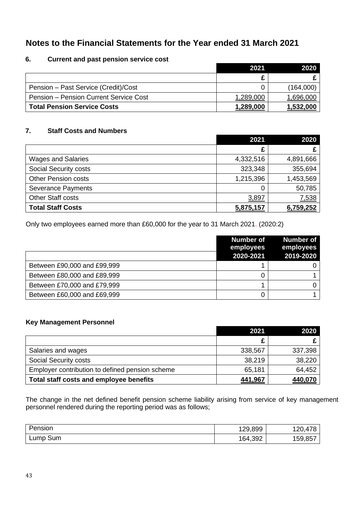# **6. Current and past pension service cost**

|                                               | 2021      | 2020      |
|-----------------------------------------------|-----------|-----------|
|                                               |           |           |
| Pension - Past Service (Credit)/Cost          | 0         | (164,000) |
| <b>Pension – Pension Current Service Cost</b> | 1,289,000 | 1,696,000 |
| <b>Total Pension Service Costs</b>            | 1,289,000 | 1,532,000 |

# **7. Staff Costs and Numbers**

|                            | 2021      | 2020      |
|----------------------------|-----------|-----------|
|                            | £         |           |
| <b>Wages and Salaries</b>  | 4,332,516 | 4,891,666 |
| Social Security costs      | 323,348   | 355,694   |
| <b>Other Pension costs</b> | 1,215,396 | 1,453,569 |
| <b>Severance Payments</b>  | 0         | 50,785    |
| <b>Other Staff costs</b>   | 3,897     | 7,538     |
| <b>Total Staff Costs</b>   | 5,875,157 | 6,759,252 |

Only two employees earned more than £60,000 for the year to 31 March 2021. (2020:2)

|                             | <b>Number of</b><br>employees<br>2020-2021 | <b>Number of</b><br>employees<br>2019-2020 |
|-----------------------------|--------------------------------------------|--------------------------------------------|
| Between £90,000 and £99,999 |                                            |                                            |
| Between £80,000 and £89,999 |                                            |                                            |
| Between £70,000 and £79,999 |                                            |                                            |
| Between £60,000 and £69,999 |                                            |                                            |

### **Key Management Personnel**

|                                                 | 2021    | 2020    |
|-------------------------------------------------|---------|---------|
|                                                 | £       |         |
| Salaries and wages                              | 338,567 | 337,398 |
| Social Security costs                           | 38,219  | 38,220  |
| Employer contribution to defined pension scheme | 65,181  | 64,452  |
| Total staff costs and employee benefits         | 441,967 | 440,070 |

The change in the net defined benefit pension scheme liability arising from service of key management personnel rendered during the reporting period was as follows;

| Pension  | 129,899 | 120,478 |
|----------|---------|---------|
| Lump Sum | 164,392 | 159,857 |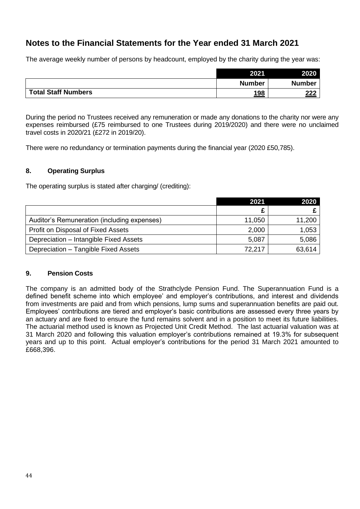The average weekly number of persons by headcount, employed by the charity during the year was:

|                            | 2021          | 2020          |
|----------------------------|---------------|---------------|
|                            | <b>Number</b> | <b>Number</b> |
| <b>Total Staff Numbers</b> | 198           | 222           |

During the period no Trustees received any remuneration or made any donations to the charity nor were any expenses reimbursed (£75 reimbursed to one Trustees during 2019/2020) and there were no unclaimed travel costs in 2020/21 (£272 in 2019/20).

There were no redundancy or termination payments during the financial year (2020 £50,785).

# **8. Operating Surplus**

The operating surplus is stated after charging/ (crediting):

|                                             | 2021   | 2020   |
|---------------------------------------------|--------|--------|
|                                             | £      |        |
| Auditor's Remuneration (including expenses) | 11,050 | 11,200 |
| Profit on Disposal of Fixed Assets          | 2,000  | 1,053  |
| Depreciation - Intangible Fixed Assets      | 5,087  | 5,086  |
| Depreciation - Tangible Fixed Assets        | 72,217 | 63,614 |

# **9. Pension Costs**

The company is an admitted body of the Strathclyde Pension Fund. The Superannuation Fund is a defined benefit scheme into which employee' and employer's contributions, and interest and dividends from investments are paid and from which pensions, lump sums and superannuation benefits are paid out. Employees' contributions are tiered and employer's basic contributions are assessed every three years by an actuary and are fixed to ensure the fund remains solvent and in a position to meet its future liabilities. The actuarial method used is known as Projected Unit Credit Method. The last actuarial valuation was at 31 March 2020 and following this valuation employer's contributions remained at 19.3% for subsequent years and up to this point. Actual employer's contributions for the period 31 March 2021 amounted to £668,396.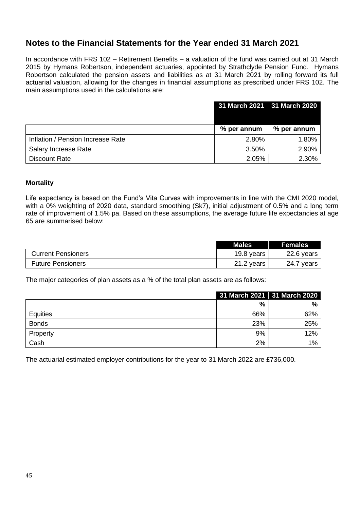In accordance with FRS 102 – Retirement Benefits – a valuation of the fund was carried out at 31 March 2015 by Hymans Robertson, independent actuaries, appointed by Strathclyde Pension Fund. Hymans Robertson calculated the pension assets and liabilities as at 31 March 2021 by rolling forward its full actuarial valuation, allowing for the changes in financial assumptions as prescribed under FRS 102. The main assumptions used in the calculations are:

|                                   | 31 March 2021 31 March 2020 |             |
|-----------------------------------|-----------------------------|-------------|
|                                   | % per annum                 | % per annum |
| Inflation / Pension Increase Rate | 2.80%                       | 1.80%       |
| Salary Increase Rate              | 3.50%                       | 2.90%       |
| <b>Discount Rate</b>              | 2.05%                       | 2.30%       |

### **Mortality**

Life expectancy is based on the Fund's Vita Curves with improvements in line with the CMI 2020 model, with a 0% weighting of 2020 data, standard smoothing (Sk7), initial adjustment of 0.5% and a long term rate of improvement of 1.5% pa. Based on these assumptions, the average future life expectancies at age 65 are summarised below:

|                           | <b>Males</b> | <b>Females</b> |
|---------------------------|--------------|----------------|
| <b>Current Pensioners</b> | 19.8 years   | 22.6 years     |
| <b>Future Pensioners</b>  | 21.2 years   | 24.7 years     |

The major categories of plan assets as a % of the total plan assets are as follows:

|              | 31 March 2021 31 March 2020 |       |
|--------------|-----------------------------|-------|
|              | %                           | %     |
| Equities     | 66%                         | 62%   |
| <b>Bonds</b> | 23%                         | 25%   |
| Property     | 9%                          | 12%   |
| Cash         | 2%                          | $1\%$ |

The actuarial estimated employer contributions for the year to 31 March 2022 are £736,000.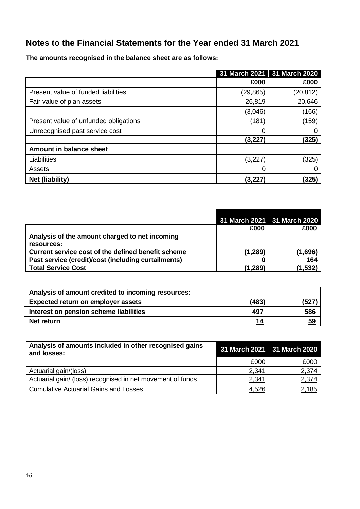**The amounts recognised in the balance sheet are as follows:**

|                                       |          | 31 March 2021 31 March 2020 |
|---------------------------------------|----------|-----------------------------|
|                                       | £000     | £000                        |
| Present value of funded liabilities   | (29,865) | (20, 812)                   |
| Fair value of plan assets             | 26,819   | 20,646                      |
|                                       | (3,046)  | (166)                       |
| Present value of unfunded obligations | (181)    | (159)                       |
| Unrecognised past service cost        | <u>0</u> |                             |
|                                       | (3,227)  | (325)                       |
| Amount in balance sheet               |          |                             |
| Liabilities                           | (3,227)  | (325)                       |
| Assets                                | <u>0</u> |                             |
| Net (liability)                       | (3,227)  | (325)                       |

|                                                     |          | 31 March 2021 31 March 2020 |
|-----------------------------------------------------|----------|-----------------------------|
|                                                     | £000     | £000                        |
| Analysis of the amount charged to net incoming      |          |                             |
| resources:                                          |          |                             |
| Current service cost of the defined benefit scheme  | (1, 289) | (1,696)                     |
| Past service (credit)/cost (including curtailments) |          | 164                         |
| <b>Total Service Cost</b>                           | (1, 289) | (1.532)                     |

| Analysis of amount credited to incoming resources: |            |           |
|----------------------------------------------------|------------|-----------|
| Expected return on employer assets                 | (483)      | (527)     |
| Interest on pension scheme liabilities             | <u>497</u> | 586       |
| Net return                                         | 14         | <u>59</u> |

| Analysis of amounts included in other recognised gains<br>and losses: | 31 March 2021 31 March 2020 |       |
|-----------------------------------------------------------------------|-----------------------------|-------|
|                                                                       | £000                        | £000  |
| Actuarial gain/(loss)                                                 | 2,341                       | 2,374 |
| Actuarial gain/ (loss) recognised in net movement of funds            | 2,341                       | 2,374 |
| <b>Cumulative Actuarial Gains and Losses</b>                          | 4,526                       | 2,185 |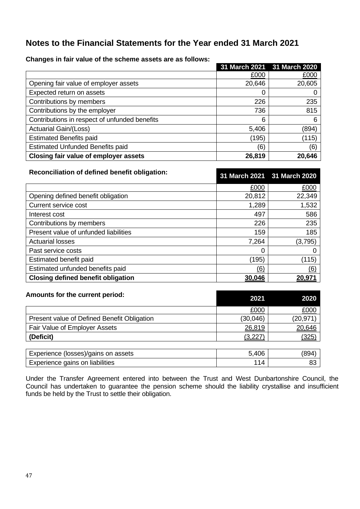|                                               |        | 31 March 2021 31 March 2020 |
|-----------------------------------------------|--------|-----------------------------|
|                                               | £000   | £000                        |
| Opening fair value of employer assets         | 20,646 | 20,605                      |
| Expected return on assets                     | 0      |                             |
| Contributions by members                      | 226    | 235                         |
| Contributions by the employer                 | 736    | 815                         |
| Contributions in respect of unfunded benefits | 6      | 6                           |
| <b>Actuarial Gain/(Loss)</b>                  | 5,406  | (894)                       |
| <b>Estimated Benefits paid</b>                | (195)  | (115)                       |
| <b>Estimated Unfunded Benefits paid</b>       | (6)    | (6)                         |
| Closing fair value of employer assets         | 26,819 | 20,646                      |

**Changes in fair value of the scheme assets are as follows:**

| Reconciliation of defined benefit obligation: | 31 March 2021 31 March 2020 |         |
|-----------------------------------------------|-----------------------------|---------|
|                                               | £000                        | £000    |
| Opening defined benefit obligation            | 20,812                      | 22,349  |
| Current service cost                          | 1,289                       | 1,532   |
| Interest cost                                 | 497                         | 586     |
| Contributions by members                      | 226                         | 235     |
| Present value of unfunded liabilities         | 159                         | 185     |
| <b>Actuarial losses</b>                       | 7,264                       | (3,795) |
| Past service costs                            | 0                           | O       |
| Estimated benefit paid                        | (195)                       | (115)   |
| Estimated unfunded benefits paid              | (6)                         | (6)     |
| <b>Closing defined benefit obligation</b>     | 30,046                      | 20,971  |

| Amounts for the current period:             | 2021     | 2020      |
|---------------------------------------------|----------|-----------|
|                                             | £000     | £000      |
| Present value of Defined Benefit Obligation | (30,046) | (20, 971) |
| Fair Value of Employer Assets               | 26,819   | 20,646    |
| (Deficit)                                   | (3.227)  | (325)     |
|                                             |          |           |

| Experience (losses)/gains on assets | 894` |
|-------------------------------------|------|
| Experience gains on liabilities     |      |

Under the Transfer Agreement entered into between the Trust and West Dunbartonshire Council, the Council has undertaken to guarantee the pension scheme should the liability crystallise and insufficient funds be held by the Trust to settle their obligation.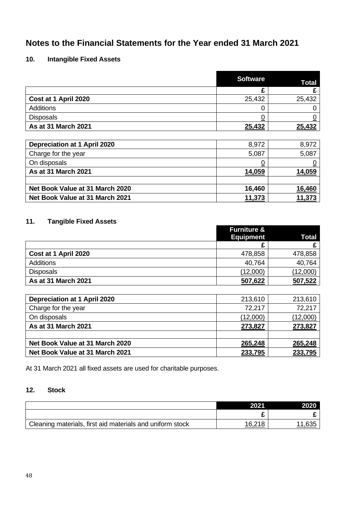# **10. Intangible Fixed Assets**

|                                     | <b>Software</b> | <b>Total</b> |
|-------------------------------------|-----------------|--------------|
|                                     | £               | £            |
| Cost at 1 April 2020                | 25,432          | 25,432       |
| Additions                           | 0               |              |
| <b>Disposals</b>                    | <u>0</u>        |              |
| As at 31 March 2021                 | 25,432          | 25,432       |
|                                     |                 |              |
| <b>Depreciation at 1 April 2020</b> | 8,972           | 8,972        |
| Charge for the year                 | 5,087           | 5,087        |
| On disposals                        | <u>0</u>        |              |
| As at 31 March 2021                 | 14,059          | 14,059       |
|                                     |                 |              |
| Net Book Value at 31 March 2020     | 16,460          | 16,460       |
| Net Book Value at 31 March 2021     | 11,373          | 11,373       |

# **11. Tangible Fixed Assets**

|                      | <b>Furniture &amp;</b> |                 |
|----------------------|------------------------|-----------------|
|                      | <b>Equipment</b>       | Total           |
|                      |                        |                 |
| Cost at 1 April 2020 | 478,858                | 478,858         |
| <b>Additions</b>     | 40,764                 | 40,764          |
| <b>Disposals</b>     | (12,000)               | <u>(12,000)</u> |
| As at 31 March 2021  | 507,622                | 507,522         |

| <b>Depreciation at 1 April 2020</b> | 213,610  | 213,610  |
|-------------------------------------|----------|----------|
| Charge for the year                 | 72,217   | 72,217   |
| On disposals                        | (12,000) | (12,000) |
| As at 31 March 2021                 | 273,827  | 273,827  |
|                                     |          |          |
| Net Book Value at 31 March 2020     | 265,248  | 265,248  |
| Net Book Value at 31 March 2021     | 233,795  | 233,795  |

At 31 March 2021 all fixed assets are used for charitable purposes.

# **12. Stock**

|                                                           | 2021   | 2020 |
|-----------------------------------------------------------|--------|------|
|                                                           |        |      |
| Cleaning materials, first aid materials and uniform stock | 16.218 | ,635 |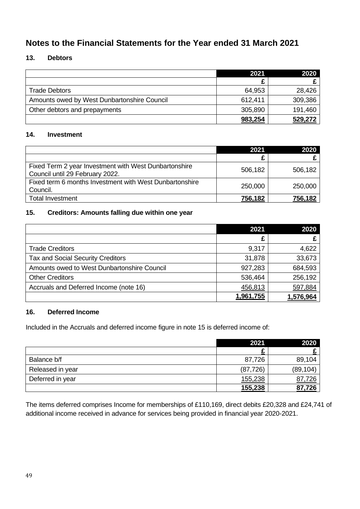# **13. Debtors**

|                                             | 2021    | 2020    |
|---------------------------------------------|---------|---------|
|                                             |         |         |
| <b>Trade Debtors</b>                        | 64,953  | 28,426  |
| Amounts owed by West Dunbartonshire Council | 612,411 | 309,386 |
| Other debtors and prepayments               | 305,890 | 191,460 |
|                                             | 983,254 | 529,272 |

# **14. Investment**

|                                                                                          | 2021    | 2020    |
|------------------------------------------------------------------------------------------|---------|---------|
|                                                                                          |         |         |
| Fixed Term 2 year Investment with West Dunbartonshire<br>Council until 29 February 2022. | 506,182 | 506,182 |
| Fixed term 6 months Investment with West Dunbartonshire<br>Council.                      | 250,000 | 250,000 |
| <b>Total Investment</b>                                                                  | 756,182 | 756,182 |

# **15. Creditors: Amounts falling due within one year**

|                                             | 2021      | 2020      |
|---------------------------------------------|-----------|-----------|
|                                             | £         |           |
| <b>Trade Creditors</b>                      | 9,317     | 4,622     |
| <b>Tax and Social Security Creditors</b>    | 31,878    | 33,673    |
| Amounts owed to West Dunbartonshire Council | 927,283   | 684,593   |
| <b>Other Creditors</b>                      | 536,464   | 256,192   |
| Accruals and Deferred Income (note 16)      | 456,813   | 597,884   |
|                                             | 1,961,755 | 1,576,964 |

# **16. Deferred Income**

Included in the Accruals and deferred income figure in note 15 is deferred income of:

|                  | 2021      | 2020      |
|------------------|-----------|-----------|
|                  |           |           |
| Balance b/f      | 87,726    | 89,104    |
| Released in year | (87, 726) | (89, 104) |
| Deferred in year | 155,238   | 87,726    |
|                  | 155,238   | 87,726    |

The items deferred comprises Income for memberships of £110,169, direct debits £20,328 and £24,741 of additional income received in advance for services being provided in financial year 2020-2021.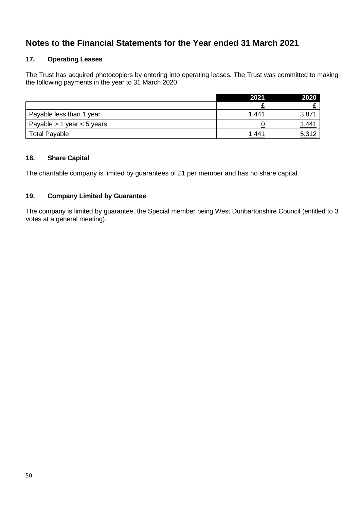# **17. Operating Leases**

The Trust has acquired photocopiers by entering into operating leases. The Trust was committed to making the following payments in the year to 31 March 2020:

|                                | 2021  | 2020        |
|--------------------------------|-------|-------------|
|                                |       |             |
| Payable less than 1 year       | 1.441 | 3,871       |
| Payable $> 1$ year $< 5$ years |       | <u>1,44</u> |
| <b>Total Payable</b>           | 1,441 | 5,312       |

# **18. Share Capital**

The charitable company is limited by guarantees of £1 per member and has no share capital.

# **19. Company Limited by Guarantee**

The company is limited by guarantee, the Special member being West Dunbartonshire Council (entitled to 3 votes at a general meeting).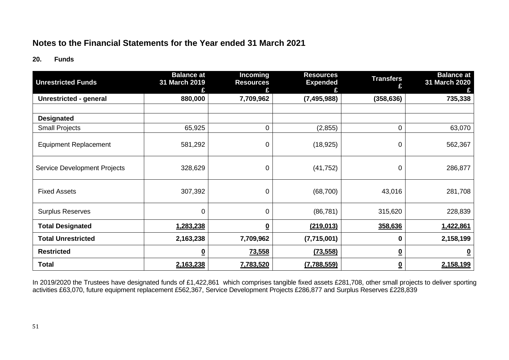### **20. Funds**

| <b>Unrestricted Funds</b>                  | <b>Balance at</b><br>31 March 2019 | Incoming<br><b>Resources</b> | <b>Resources</b><br><b>Expended</b> | <b>Transfers</b><br>£    | <b>Balance at</b><br>31 March 2020 |
|--------------------------------------------|------------------------------------|------------------------------|-------------------------------------|--------------------------|------------------------------------|
| Unrestricted - general                     | 880,000                            | 7,709,962                    | (7, 495, 988)                       | (358, 636)               | 735,338                            |
|                                            |                                    |                              |                                     |                          |                                    |
| <b>Designated</b><br><b>Small Projects</b> | 65,925                             | $\mathbf 0$                  | (2,855)                             | 0                        | 63,070                             |
| <b>Equipment Replacement</b>               | 581,292                            | 0                            | (18, 925)                           | 0                        | 562,367                            |
| <b>Service Development Projects</b>        | 328,629                            | 0                            | (41, 752)                           | 0                        | 286,877                            |
| <b>Fixed Assets</b>                        | 307,392                            | $\mathbf 0$                  | (68, 700)                           | 43,016                   | 281,708                            |
| <b>Surplus Reserves</b>                    | 0                                  | $\overline{0}$               | (86, 781)                           | 315,620                  | 228,839                            |
| <b>Total Designated</b>                    | 1,283,238                          | $\overline{\mathbf{0}}$      | (219, 013)                          | 358,636                  | 1,422,861                          |
| <b>Total Unrestricted</b>                  | 2,163,238                          | 7,709,962                    | (7,715,001)                         | $\mathbf 0$              | 2,158,199                          |
| <b>Restricted</b>                          | <u>0</u>                           | 73,558                       | (73, 558)                           | $\overline{\mathbf{0}}$  | $\bf{0}$                           |
| <b>Total</b>                               | 2,163,238                          | 7,783,520                    | (7,788,559)                         | $\underline{\mathbf{0}}$ | 2,158,199                          |

In 2019/2020 the Trustees have designated funds of £1,422,861 which comprises tangible fixed assets £281,708, other small projects to deliver sporting activities £63,070, future equipment replacement £562,367, Service Development Projects £286,877 and Surplus Reserves £228,839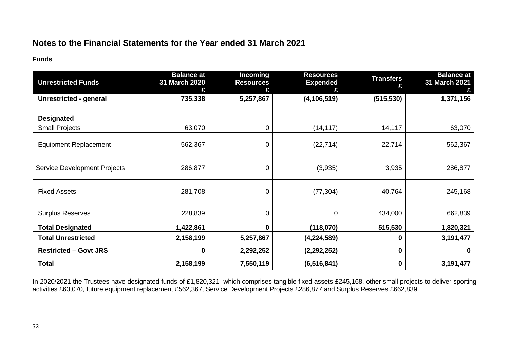**Funds**

| <b>Unrestricted Funds</b>     | <b>Balance at</b><br>31 March 2020 | Incoming<br><b>Resources</b> | <b>Resources</b><br><b>Expended</b> | <b>Transfers</b><br>£    | <b>Balance at</b><br>31 March 2021 |
|-------------------------------|------------------------------------|------------------------------|-------------------------------------|--------------------------|------------------------------------|
| <b>Unrestricted - general</b> | 735,338                            | 5,257,867                    | (4, 106, 519)                       | (515, 530)               | 1,371,156                          |
| <b>Designated</b>             |                                    |                              |                                     |                          |                                    |
| <b>Small Projects</b>         | 63,070                             | $\mathbf 0$                  | (14, 117)                           | 14,117                   | 63,070                             |
| <b>Equipment Replacement</b>  | 562,367                            | $\mathbf 0$                  | (22, 714)                           | 22,714                   | 562,367                            |
| Service Development Projects  | 286,877                            | 0                            | (3,935)                             | 3,935                    | 286,877                            |
| <b>Fixed Assets</b>           | 281,708                            | 0                            | (77, 304)                           | 40,764                   | 245,168                            |
| <b>Surplus Reserves</b>       | 228,839                            | 0                            | 0                                   | 434,000                  | 662,839                            |
| <b>Total Designated</b>       | 1,422,861                          | $\bf{0}$                     | (118,070)                           | 515,530                  | 1,820,321                          |
| <b>Total Unrestricted</b>     | 2,158,199                          | 5,257,867                    | (4,224,589)                         | $\mathbf 0$              | 3,191,477                          |
| <b>Restricted - Govt JRS</b>  | <u>0</u>                           | 2,292,252                    | (2, 292, 252)                       | $\overline{\mathbf{0}}$  | 0                                  |
| <b>Total</b>                  | 2,158,199                          | 7,550,119                    | (6, 516, 841)                       | $\underline{\mathbf{0}}$ | 3,191,477                          |

In 2020/2021 the Trustees have designated funds of £1,820,321 which comprises tangible fixed assets £245,168, other small projects to deliver sporting activities £63,070, future equipment replacement £562,367, Service Development Projects £286,877 and Surplus Reserves £662,839.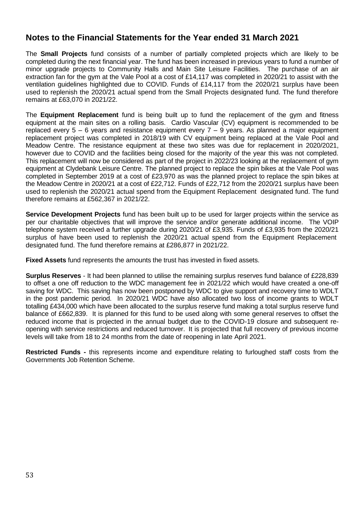The **Small Projects** fund consists of a number of partially completed projects which are likely to be completed during the next financial year. The fund has been increased in previous years to fund a number of minor upgrade projects to Community Halls and Main Site Leisure Facilities. The purchase of an air extraction fan for the gym at the Vale Pool at a cost of £14,117 was completed in 2020/21 to assist with the ventilation guidelines highlighted due to COVID. Funds of £14,117 from the 2020/21 surplus have been used to replenish the 2020/21 actual spend from the Small Projects designated fund. The fund therefore remains at £63,070 in 2021/22.

The **Equipment Replacement** fund is being built up to fund the replacement of the gym and fitness equipment at the main sites on a rolling basis. Cardio Vascular (CV) equipment is recommended to be replaced every  $5 - 6$  years and resistance equipment every  $7 - 9$  years. As planned a major equipment replacement project was completed in 2018/19 with CV equipment being replaced at the Vale Pool and Meadow Centre. The resistance equipment at these two sites was due for replacement in 2020/2021, however due to COVID and the facilities being closed for the majority of the year this was not completed. This replacement will now be considered as part of the project in 2022/23 looking at the replacement of gym equipment at Clydebank Leisure Centre. The planned project to replace the spin bikes at the Vale Pool was completed in September 2019 at a cost of £23,970 as was the planned project to replace the spin bikes at the Meadow Centre in 2020/21 at a cost of £22,712. Funds of £22,712 from the 2020/21 surplus have been used to replenish the 2020/21 actual spend from the Equipment Replacement designated fund. The fund therefore remains at £562,367 in 2021/22.

**Service Development Projects** fund has been built up to be used for larger projects within the service as per our charitable objectives that will improve the service and/or generate additional income. The VOIP telephone system received a further upgrade during 2020/21 of £3,935. Funds of £3,935 from the 2020/21 surplus of have been used to replenish the 2020/21 actual spend from the Equipment Replacement designated fund. The fund therefore remains at £286,877 in 2021/22.

**Fixed Assets** fund represents the amounts the trust has invested in fixed assets.

**Surplus Reserves** - It had been planned to utilise the remaining surplus reserves fund balance of £228,839 to offset a one off reduction to the WDC management fee in 2021/22 which would have created a one-off saving for WDC. This saving has now been postponed by WDC to give support and recovery time to WDLT in the post pandemic period. In 2020/21 WDC have also allocated two loss of income grants to WDLT totalling £434,000 which have been allocated to the surplus reserve fund making a total surplus reserve fund balance of £662,839. It is planned for this fund to be used along with some general reserves to offset the reduced income that is projected in the annual budget due to the COVID-19 closure and subsequent reopening with service restrictions and reduced turnover. It is projected that full recovery of previous income levels will take from 18 to 24 months from the date of reopening in late April 2021.

**Restricted Funds -** this represents income and expenditure relating to furloughed staff costs from the Governments Job Retention Scheme.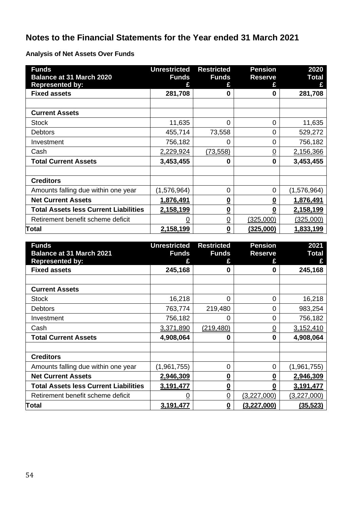**Analysis of Net Assets Over Funds**

| <b>Funds</b><br><b>Balance at 31 March 2020</b><br><b>Represented by:</b> | <b>Unrestricted</b><br><b>Funds</b> | <b>Restricted</b><br><b>Funds</b><br>£ | <b>Pension</b><br><b>Reserve</b> | 2020<br><b>Total</b> |
|---------------------------------------------------------------------------|-------------------------------------|----------------------------------------|----------------------------------|----------------------|
| <b>Fixed assets</b>                                                       | 281,708                             | 0                                      | 0                                | 281,708              |
|                                                                           |                                     |                                        |                                  |                      |
| <b>Current Assets</b>                                                     |                                     |                                        |                                  |                      |
| <b>Stock</b>                                                              | 11,635                              | 0                                      | $\overline{0}$                   | 11,635               |
| <b>Debtors</b>                                                            | 455,714                             | 73,558                                 | 0                                | 529,272              |
| Investment                                                                | 756,182                             | 0                                      | 0                                | 756,182              |
| Cash                                                                      | 2,229,924                           | (73, 558)                              | $\overline{0}$                   | 2,156,366            |
| <b>Total Current Assets</b>                                               | 3,453,455                           | 0                                      | 0                                | 3,453,455            |
|                                                                           |                                     |                                        |                                  |                      |
| <b>Creditors</b>                                                          |                                     |                                        |                                  |                      |
| Amounts falling due within one year                                       | (1,576,964)                         | 0                                      | 0                                | (1,576,964)          |
| <b>Net Current Assets</b>                                                 | 1,876,491                           | $\overline{\mathbf{0}}$                | $\underline{\mathbf{0}}$         | 1,876,491            |
| <b>Total Assets less Current Liabilities</b>                              | 2,158,199                           | $\overline{\mathbf{0}}$                | 0                                | 2,158,199            |
| Retirement benefit scheme deficit                                         | 0                                   | $\overline{0}$                         | (325,000)                        | (325,000)            |
| Total                                                                     | 2,158,199                           | $\overline{\mathbf{0}}$                | (325,000)                        | 1,833,199            |

| <b>Funds</b><br><b>Balance at 31 March 2021</b> | <b>Unrestricted</b><br><b>Funds</b> | <b>Restricted</b><br><b>Funds</b> | <b>Pension</b><br><b>Reserve</b> | 2021<br><b>Total</b> |
|-------------------------------------------------|-------------------------------------|-----------------------------------|----------------------------------|----------------------|
| <b>Represented by:</b>                          | £                                   | £                                 |                                  | £                    |
| <b>Fixed assets</b>                             | 245,168                             | 0                                 | Ω                                | 245,168              |
|                                                 |                                     |                                   |                                  |                      |
| <b>Current Assets</b>                           |                                     |                                   |                                  |                      |
| <b>Stock</b>                                    | 16,218                              | 0                                 | 0                                | 16,218               |
| <b>Debtors</b>                                  | 763,774                             | 219,480                           | 0                                | 983,254              |
| Investment                                      | 756,182                             | 0                                 | $\overline{0}$                   | 756,182              |
| Cash                                            | 3,371,890                           | (219, 480)                        | $\overline{0}$                   | 3,152,410            |
| <b>Total Current Assets</b>                     | 4,908,064                           | 0                                 | 0                                | 4,908,064            |
|                                                 |                                     |                                   |                                  |                      |
| <b>Creditors</b>                                |                                     |                                   |                                  |                      |
| Amounts falling due within one year             | (1,961,755)                         | 0                                 | 0                                | (1,961,755)          |
| <b>Net Current Assets</b>                       | 2,946,309                           | $\underline{\mathbf{0}}$          | $\underline{\mathbf{0}}$         | 2,946,309            |
| <b>Total Assets less Current Liabilities</b>    | 3,191,477                           | $\underline{\mathbf{0}}$          | 0                                | 3,191,477            |
| Retirement benefit scheme deficit               | 0                                   | $\overline{0}$                    | (3,227,000)                      | (3,227,000)          |
| Total                                           | 3,191,477                           | $\overline{\mathbf{0}}$           | (3,227,000)                      | (35, 523)            |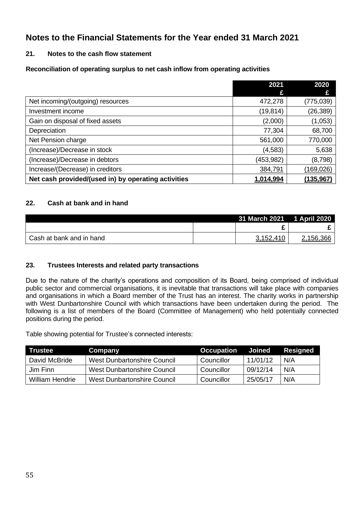# **21. Notes to the cash flow statement**

# **Reconciliation of operating surplus to net cash inflow from operating activities**

|                                                     | 2021      | 2020<br>£  |
|-----------------------------------------------------|-----------|------------|
| Net incoming/(outgoing) resources                   | 472,278   | (775, 039) |
| Investment income                                   | (19,814)  | (26, 389)  |
| Gain on disposal of fixed assets                    | (2,000)   | (1,053)    |
| Depreciation                                        | 77,304    | 68,700     |
| Net Pension charge                                  | 561,000   | 770,000    |
| (Increase)/Decrease in stock                        | (4, 583)  | 5,638      |
| (Increase)/Decrease in debtors                      | (453,982) | (8,798)    |
| Increase/(Decrease) in creditors                    | 384,791   | (169, 026) |
| Net cash provided/(used in) by operating activities | 1,014,994 | (135,967   |

# **22. Cash at bank and in hand**

|                          | 31 March 2021 1 April 2020 |           |
|--------------------------|----------------------------|-----------|
|                          |                            |           |
| Cash at bank and in hand | 3,152,410                  | 2,156,366 |

### **23. Trustees Interests and related party transactions**

Due to the nature of the charity's operations and composition of its Board, being comprised of individual public sector and commercial organisations, it is inevitable that transactions will take place with companies and organisations in which a Board member of the Trust has an interest. The charity works in partnership with West Dunbartonshire Council with which transactions have been undertaken during the period. The following is a list of members of the Board (Committee of Management) who held potentially connected positions during the period.

Table showing potential for Trustee's connected interests:

| <b>Trustee</b>  | Company                     | Occupation | Joined   | Resigned |
|-----------------|-----------------------------|------------|----------|----------|
| David McBride   | West Dunbartonshire Council | Councillor | 11/01/12 | N/A      |
| Jim Finn        | West Dunbartonshire Council | Councillor | 09/12/14 | N/A      |
| William Hendrie | West Dunbartonshire Council | Councillor | 25/05/17 | N/A      |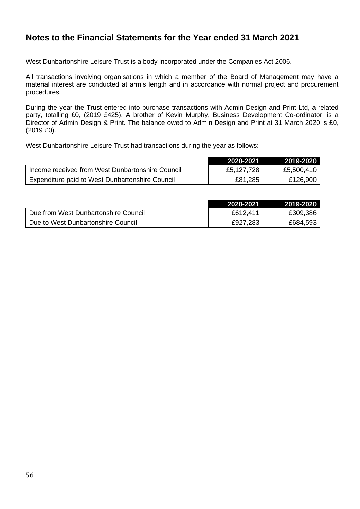West Dunbartonshire Leisure Trust is a body incorporated under the Companies Act 2006.

All transactions involving organisations in which a member of the Board of Management may have a material interest are conducted at arm's length and in accordance with normal project and procurement procedures.

During the year the Trust entered into purchase transactions with Admin Design and Print Ltd, a related party, totalling £0, (2019 £425). A brother of Kevin Murphy, Business Development Co-ordinator, is a Director of Admin Design & Print. The balance owed to Admin Design and Print at 31 March 2020 is £0, (2019 £0).

West Dunbartonshire Leisure Trust had transactions during the year as follows:

|                                                  | 2020-2021  | 2019-2020  |
|--------------------------------------------------|------------|------------|
| Income received from West Dunbartonshire Council | £5,127,728 | £5,500,410 |
| Expenditure paid to West Dunbartonshire Council  | £81,285    | £126,900   |

|                                      | 2020-2021 | 2019-2020 |
|--------------------------------------|-----------|-----------|
| Due from West Dunbartonshire Council | £612.411  | £309,386  |
| Due to West Dunbartonshire Council   | £927,283  | £684,593  |